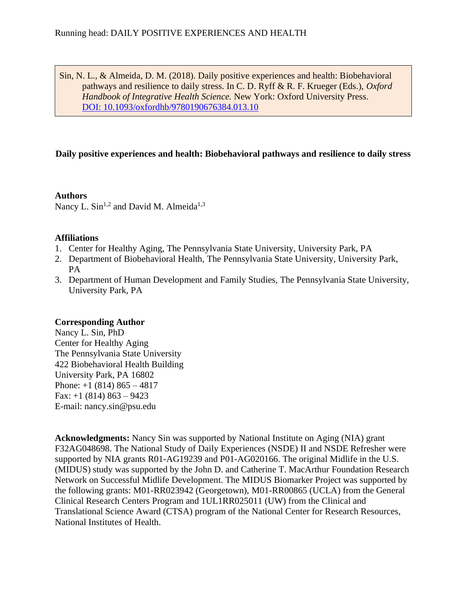Sin, N. L., & Almeida, D. M. (2018). Daily positive experiences and health: Biobehavioral pathways and resilience to daily stress. In C. D. Ryff & R. F. Krueger (Eds.), *Oxford Handbook of Integrative Health Science.* New York: Oxford University Press. [DOI: 10.1093/oxfordhb/9780190676384.013.10](http://doi.org/10.1093/oxfordhb/9780190676384.013.10)

# **Daily positive experiences and health: Biobehavioral pathways and resilience to daily stress**

**Authors** Nancy L. Sin<sup>1,2</sup> and David M. Almeida<sup>1,3</sup>

# **Affiliations**

- 1. Center for Healthy Aging, The Pennsylvania State University, University Park, PA
- 2. Department of Biobehavioral Health, The Pennsylvania State University, University Park, PA
- 3. Department of Human Development and Family Studies, The Pennsylvania State University, University Park, PA

# **Corresponding Author**

Nancy L. Sin, PhD Center for Healthy Aging The Pennsylvania State University 422 Biobehavioral Health Building University Park, PA 16802 Phone:  $+1$  (814) 865 – 4817 Fax:  $+1$  (814) 863 – 9423 E-mail: nancy.sin@psu.edu

**Acknowledgments:** Nancy Sin was supported by National Institute on Aging (NIA) grant F32AG048698. The National Study of Daily Experiences (NSDE) II and NSDE Refresher were supported by NIA grants R01-AG19239 and P01-AG020166. The original Midlife in the U.S. (MIDUS) study was supported by the John D. and Catherine T. MacArthur Foundation Research Network on Successful Midlife Development. The MIDUS Biomarker Project was supported by the following grants: M01-RR023942 (Georgetown), M01-RR00865 (UCLA) from the General Clinical Research Centers Program and 1UL1RR025011 (UW) from the Clinical and Translational Science Award (CTSA) program of the National Center for Research Resources, National Institutes of Health.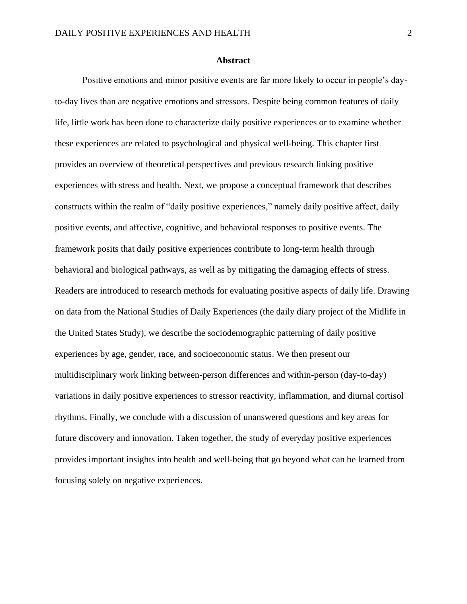#### **Abstract**

Positive emotions and minor positive events are far more likely to occur in people's dayto-day lives than are negative emotions and stressors. Despite being common features of daily life, little work has been done to characterize daily positive experiences or to examine whether these experiences are related to psychological and physical well-being. This chapter first provides an overview of theoretical perspectives and previous research linking positive experiences with stress and health. Next, we propose a conceptual framework that describes constructs within the realm of "daily positive experiences," namely daily positive affect, daily positive events, and affective, cognitive, and behavioral responses to positive events. The framework posits that daily positive experiences contribute to long-term health through behavioral and biological pathways, as well as by mitigating the damaging effects of stress. Readers are introduced to research methods for evaluating positive aspects of daily life. Drawing on data from the National Studies of Daily Experiences (the daily diary project of the Midlife in the United States Study), we describe the sociodemographic patterning of daily positive experiences by age, gender, race, and socioeconomic status. We then present our multidisciplinary work linking between-person differences and within-person (day-to-day) variations in daily positive experiences to stressor reactivity, inflammation, and diurnal cortisol rhythms. Finally, we conclude with a discussion of unanswered questions and key areas for future discovery and innovation. Taken together, the study of everyday positive experiences provides important insights into health and well-being that go beyond what can be learned from focusing solely on negative experiences.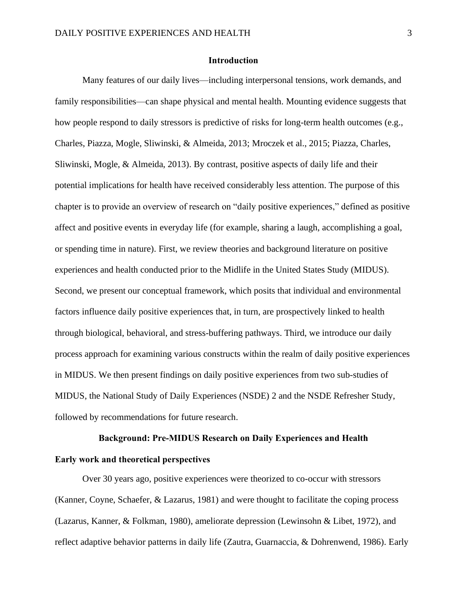## **Introduction**

Many features of our daily lives—including interpersonal tensions, work demands, and family responsibilities—can shape physical and mental health. Mounting evidence suggests that how people respond to daily stressors is predictive of risks for long-term health outcomes (e.g., Charles, Piazza, Mogle, Sliwinski, & Almeida, 2013; Mroczek et al., 2015; Piazza, Charles, Sliwinski, Mogle, & Almeida, 2013). By contrast, positive aspects of daily life and their potential implications for health have received considerably less attention. The purpose of this chapter is to provide an overview of research on "daily positive experiences," defined as positive affect and positive events in everyday life (for example, sharing a laugh, accomplishing a goal, or spending time in nature). First, we review theories and background literature on positive experiences and health conducted prior to the Midlife in the United States Study (MIDUS). Second, we present our conceptual framework, which posits that individual and environmental factors influence daily positive experiences that, in turn, are prospectively linked to health through biological, behavioral, and stress-buffering pathways. Third, we introduce our daily process approach for examining various constructs within the realm of daily positive experiences in MIDUS. We then present findings on daily positive experiences from two sub-studies of MIDUS, the National Study of Daily Experiences (NSDE) 2 and the NSDE Refresher Study, followed by recommendations for future research.

# **Background: Pre-MIDUS Research on Daily Experiences and Health**

# **Early work and theoretical perspectives**

Over 30 years ago, positive experiences were theorized to co-occur with stressors (Kanner, Coyne, Schaefer, & Lazarus, 1981) and were thought to facilitate the coping process (Lazarus, Kanner, & Folkman, 1980), ameliorate depression (Lewinsohn & Libet, 1972), and reflect adaptive behavior patterns in daily life (Zautra, Guarnaccia, & Dohrenwend, 1986). Early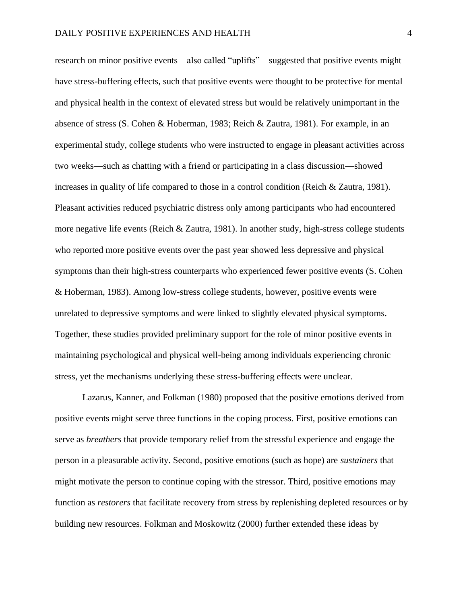research on minor positive events—also called "uplifts"—suggested that positive events might have stress-buffering effects, such that positive events were thought to be protective for mental and physical health in the context of elevated stress but would be relatively unimportant in the absence of stress (S. Cohen & Hoberman, 1983; Reich & Zautra, 1981). For example, in an experimental study, college students who were instructed to engage in pleasant activities across two weeks—such as chatting with a friend or participating in a class discussion—showed increases in quality of life compared to those in a control condition (Reich & Zautra, 1981). Pleasant activities reduced psychiatric distress only among participants who had encountered more negative life events (Reich & Zautra, 1981). In another study, high-stress college students who reported more positive events over the past year showed less depressive and physical symptoms than their high-stress counterparts who experienced fewer positive events (S. Cohen & Hoberman, 1983). Among low-stress college students, however, positive events were unrelated to depressive symptoms and were linked to slightly elevated physical symptoms. Together, these studies provided preliminary support for the role of minor positive events in maintaining psychological and physical well-being among individuals experiencing chronic stress, yet the mechanisms underlying these stress-buffering effects were unclear.

Lazarus, Kanner, and Folkman (1980) proposed that the positive emotions derived from positive events might serve three functions in the coping process. First, positive emotions can serve as *breathers* that provide temporary relief from the stressful experience and engage the person in a pleasurable activity. Second, positive emotions (such as hope) are *sustainers* that might motivate the person to continue coping with the stressor. Third, positive emotions may function as *restorers* that facilitate recovery from stress by replenishing depleted resources or by building new resources. Folkman and Moskowitz (2000) further extended these ideas by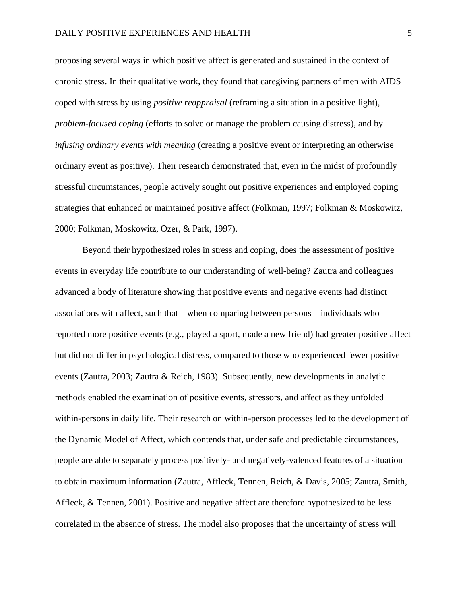#### DAILY POSITIVE EXPERIENCES AND HEALTH 5

proposing several ways in which positive affect is generated and sustained in the context of chronic stress. In their qualitative work, they found that caregiving partners of men with AIDS coped with stress by using *positive reappraisal* (reframing a situation in a positive light), *problem-focused coping* (efforts to solve or manage the problem causing distress), and by *infusing ordinary events with meaning* (creating a positive event or interpreting an otherwise ordinary event as positive). Their research demonstrated that, even in the midst of profoundly stressful circumstances, people actively sought out positive experiences and employed coping strategies that enhanced or maintained positive affect (Folkman, 1997; Folkman & Moskowitz, 2000; Folkman, Moskowitz, Ozer, & Park, 1997).

Beyond their hypothesized roles in stress and coping, does the assessment of positive events in everyday life contribute to our understanding of well-being? Zautra and colleagues advanced a body of literature showing that positive events and negative events had distinct associations with affect, such that—when comparing between persons—individuals who reported more positive events (e.g., played a sport, made a new friend) had greater positive affect but did not differ in psychological distress, compared to those who experienced fewer positive events (Zautra, 2003; Zautra & Reich, 1983). Subsequently, new developments in analytic methods enabled the examination of positive events, stressors, and affect as they unfolded within-persons in daily life. Their research on within-person processes led to the development of the Dynamic Model of Affect, which contends that, under safe and predictable circumstances, people are able to separately process positively- and negatively-valenced features of a situation to obtain maximum information (Zautra, Affleck, Tennen, Reich, & Davis, 2005; Zautra, Smith, Affleck, & Tennen, 2001). Positive and negative affect are therefore hypothesized to be less correlated in the absence of stress. The model also proposes that the uncertainty of stress will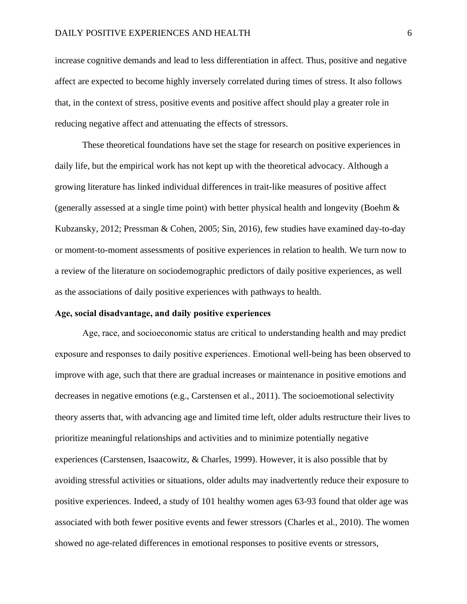increase cognitive demands and lead to less differentiation in affect. Thus, positive and negative affect are expected to become highly inversely correlated during times of stress. It also follows that, in the context of stress, positive events and positive affect should play a greater role in reducing negative affect and attenuating the effects of stressors.

These theoretical foundations have set the stage for research on positive experiences in daily life, but the empirical work has not kept up with the theoretical advocacy. Although a growing literature has linked individual differences in trait-like measures of positive affect (generally assessed at a single time point) with better physical health and longevity (Boehm  $\&$ Kubzansky, 2012; Pressman & Cohen, 2005; Sin, 2016), few studies have examined day-to-day or moment-to-moment assessments of positive experiences in relation to health. We turn now to a review of the literature on sociodemographic predictors of daily positive experiences, as well as the associations of daily positive experiences with pathways to health.

#### **Age, social disadvantage, and daily positive experiences**

Age, race, and socioeconomic status are critical to understanding health and may predict exposure and responses to daily positive experiences. Emotional well-being has been observed to improve with age, such that there are gradual increases or maintenance in positive emotions and decreases in negative emotions (e.g., Carstensen et al., 2011). The socioemotional selectivity theory asserts that, with advancing age and limited time left, older adults restructure their lives to prioritize meaningful relationships and activities and to minimize potentially negative experiences (Carstensen, Isaacowitz, & Charles, 1999). However, it is also possible that by avoiding stressful activities or situations, older adults may inadvertently reduce their exposure to positive experiences. Indeed, a study of 101 healthy women ages 63-93 found that older age was associated with both fewer positive events and fewer stressors (Charles et al., 2010). The women showed no age-related differences in emotional responses to positive events or stressors,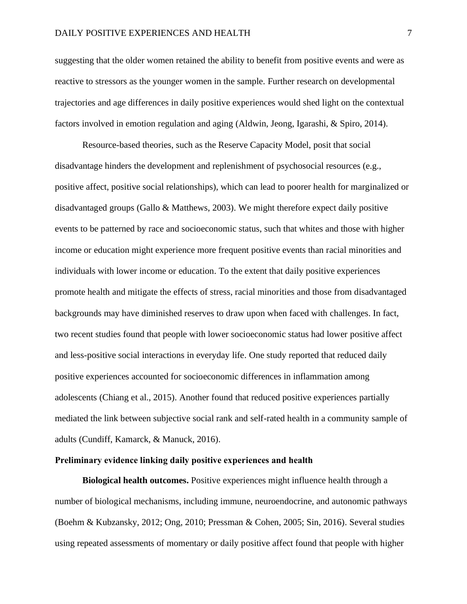suggesting that the older women retained the ability to benefit from positive events and were as reactive to stressors as the younger women in the sample. Further research on developmental trajectories and age differences in daily positive experiences would shed light on the contextual factors involved in emotion regulation and aging (Aldwin, Jeong, Igarashi, & Spiro, 2014).

Resource-based theories, such as the Reserve Capacity Model, posit that social disadvantage hinders the development and replenishment of psychosocial resources (e.g., positive affect, positive social relationships), which can lead to poorer health for marginalized or disadvantaged groups (Gallo & Matthews, 2003). We might therefore expect daily positive events to be patterned by race and socioeconomic status, such that whites and those with higher income or education might experience more frequent positive events than racial minorities and individuals with lower income or education. To the extent that daily positive experiences promote health and mitigate the effects of stress, racial minorities and those from disadvantaged backgrounds may have diminished reserves to draw upon when faced with challenges. In fact, two recent studies found that people with lower socioeconomic status had lower positive affect and less-positive social interactions in everyday life. One study reported that reduced daily positive experiences accounted for socioeconomic differences in inflammation among adolescents (Chiang et al., 2015). Another found that reduced positive experiences partially mediated the link between subjective social rank and self-rated health in a community sample of adults (Cundiff, Kamarck, & Manuck, 2016).

#### **Preliminary evidence linking daily positive experiences and health**

**Biological health outcomes.** Positive experiences might influence health through a number of biological mechanisms, including immune, neuroendocrine, and autonomic pathways (Boehm & Kubzansky, 2012; Ong, 2010; Pressman & Cohen, 2005; Sin, 2016). Several studies using repeated assessments of momentary or daily positive affect found that people with higher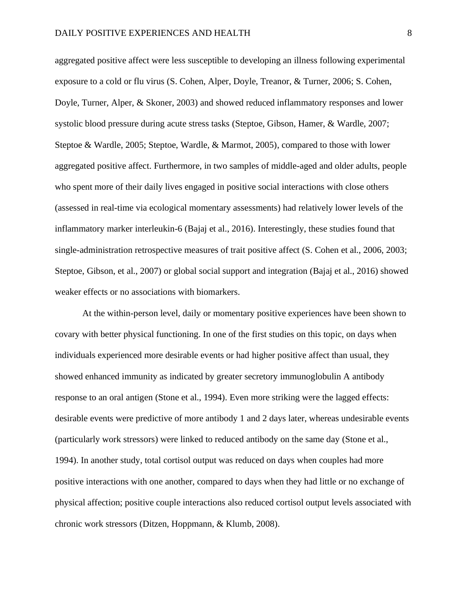aggregated positive affect were less susceptible to developing an illness following experimental exposure to a cold or flu virus (S. Cohen, Alper, Doyle, Treanor, & Turner, 2006; S. Cohen, Doyle, Turner, Alper, & Skoner, 2003) and showed reduced inflammatory responses and lower systolic blood pressure during acute stress tasks (Steptoe, Gibson, Hamer, & Wardle, 2007; Steptoe & Wardle, 2005; Steptoe, Wardle, & Marmot, 2005), compared to those with lower aggregated positive affect. Furthermore, in two samples of middle-aged and older adults, people who spent more of their daily lives engaged in positive social interactions with close others (assessed in real-time via ecological momentary assessments) had relatively lower levels of the inflammatory marker interleukin-6 (Bajaj et al., 2016). Interestingly, these studies found that single-administration retrospective measures of trait positive affect (S. Cohen et al., 2006, 2003; Steptoe, Gibson, et al., 2007) or global social support and integration (Bajaj et al., 2016) showed weaker effects or no associations with biomarkers.

At the within-person level, daily or momentary positive experiences have been shown to covary with better physical functioning. In one of the first studies on this topic, on days when individuals experienced more desirable events or had higher positive affect than usual, they showed enhanced immunity as indicated by greater secretory immunoglobulin A antibody response to an oral antigen (Stone et al., 1994). Even more striking were the lagged effects: desirable events were predictive of more antibody 1 and 2 days later, whereas undesirable events (particularly work stressors) were linked to reduced antibody on the same day (Stone et al., 1994). In another study, total cortisol output was reduced on days when couples had more positive interactions with one another, compared to days when they had little or no exchange of physical affection; positive couple interactions also reduced cortisol output levels associated with chronic work stressors (Ditzen, Hoppmann, & Klumb, 2008).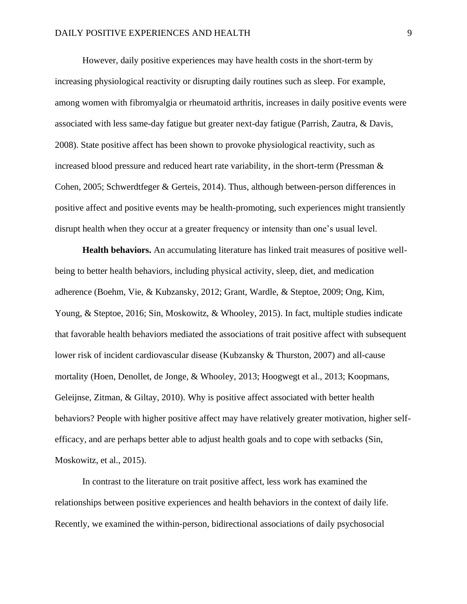However, daily positive experiences may have health costs in the short-term by increasing physiological reactivity or disrupting daily routines such as sleep. For example, among women with fibromyalgia or rheumatoid arthritis, increases in daily positive events were associated with less same-day fatigue but greater next-day fatigue (Parrish, Zautra, & Davis, 2008). State positive affect has been shown to provoke physiological reactivity, such as increased blood pressure and reduced heart rate variability, in the short-term (Pressman & Cohen, 2005; Schwerdtfeger & Gerteis, 2014). Thus, although between-person differences in positive affect and positive events may be health-promoting, such experiences might transiently disrupt health when they occur at a greater frequency or intensity than one's usual level.

**Health behaviors.** An accumulating literature has linked trait measures of positive wellbeing to better health behaviors, including physical activity, sleep, diet, and medication adherence (Boehm, Vie, & Kubzansky, 2012; Grant, Wardle, & Steptoe, 2009; Ong, Kim, Young, & Steptoe, 2016; Sin, Moskowitz, & Whooley, 2015). In fact, multiple studies indicate that favorable health behaviors mediated the associations of trait positive affect with subsequent lower risk of incident cardiovascular disease (Kubzansky & Thurston, 2007) and all-cause mortality (Hoen, Denollet, de Jonge, & Whooley, 2013; Hoogwegt et al., 2013; Koopmans, Geleijnse, Zitman, & Giltay, 2010). Why is positive affect associated with better health behaviors? People with higher positive affect may have relatively greater motivation, higher selfefficacy, and are perhaps better able to adjust health goals and to cope with setbacks (Sin, Moskowitz, et al., 2015).

In contrast to the literature on trait positive affect, less work has examined the relationships between positive experiences and health behaviors in the context of daily life. Recently, we examined the within-person, bidirectional associations of daily psychosocial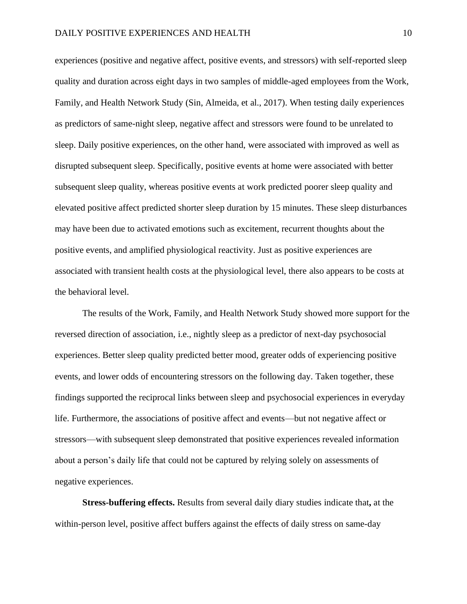experiences (positive and negative affect, positive events, and stressors) with self-reported sleep quality and duration across eight days in two samples of middle-aged employees from the Work, Family, and Health Network Study (Sin, Almeida, et al., 2017). When testing daily experiences as predictors of same-night sleep, negative affect and stressors were found to be unrelated to sleep. Daily positive experiences, on the other hand, were associated with improved as well as disrupted subsequent sleep. Specifically, positive events at home were associated with better subsequent sleep quality, whereas positive events at work predicted poorer sleep quality and elevated positive affect predicted shorter sleep duration by 15 minutes. These sleep disturbances may have been due to activated emotions such as excitement, recurrent thoughts about the positive events, and amplified physiological reactivity. Just as positive experiences are associated with transient health costs at the physiological level, there also appears to be costs at the behavioral level.

The results of the Work, Family, and Health Network Study showed more support for the reversed direction of association, i.e., nightly sleep as a predictor of next-day psychosocial experiences. Better sleep quality predicted better mood, greater odds of experiencing positive events, and lower odds of encountering stressors on the following day. Taken together, these findings supported the reciprocal links between sleep and psychosocial experiences in everyday life. Furthermore, the associations of positive affect and events—but not negative affect or stressors—with subsequent sleep demonstrated that positive experiences revealed information about a person's daily life that could not be captured by relying solely on assessments of negative experiences.

**Stress-buffering effects.** Results from several daily diary studies indicate that**,** at the within-person level, positive affect buffers against the effects of daily stress on same-day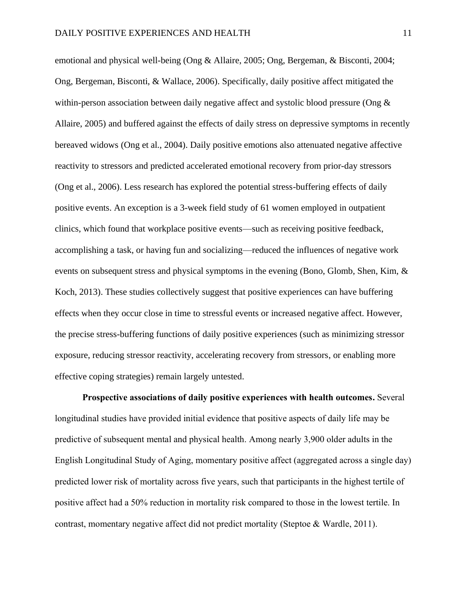emotional and physical well-being (Ong & Allaire, 2005; Ong, Bergeman, & Bisconti, 2004; Ong, Bergeman, Bisconti, & Wallace, 2006). Specifically, daily positive affect mitigated the within-person association between daily negative affect and systolic blood pressure (Ong & Allaire, 2005) and buffered against the effects of daily stress on depressive symptoms in recently bereaved widows (Ong et al., 2004). Daily positive emotions also attenuated negative affective reactivity to stressors and predicted accelerated emotional recovery from prior-day stressors (Ong et al., 2006). Less research has explored the potential stress-buffering effects of daily positive events. An exception is a 3-week field study of 61 women employed in outpatient clinics, which found that workplace positive events—such as receiving positive feedback, accomplishing a task, or having fun and socializing—reduced the influences of negative work events on subsequent stress and physical symptoms in the evening (Bono, Glomb, Shen, Kim, & Koch, 2013). These studies collectively suggest that positive experiences can have buffering effects when they occur close in time to stressful events or increased negative affect. However, the precise stress-buffering functions of daily positive experiences (such as minimizing stressor exposure, reducing stressor reactivity, accelerating recovery from stressors, or enabling more effective coping strategies) remain largely untested.

**Prospective associations of daily positive experiences with health outcomes.** Several longitudinal studies have provided initial evidence that positive aspects of daily life may be predictive of subsequent mental and physical health. Among nearly 3,900 older adults in the English Longitudinal Study of Aging, momentary positive affect (aggregated across a single day) predicted lower risk of mortality across five years, such that participants in the highest tertile of positive affect had a 50% reduction in mortality risk compared to those in the lowest tertile. In contrast, momentary negative affect did not predict mortality (Steptoe & Wardle, 2011).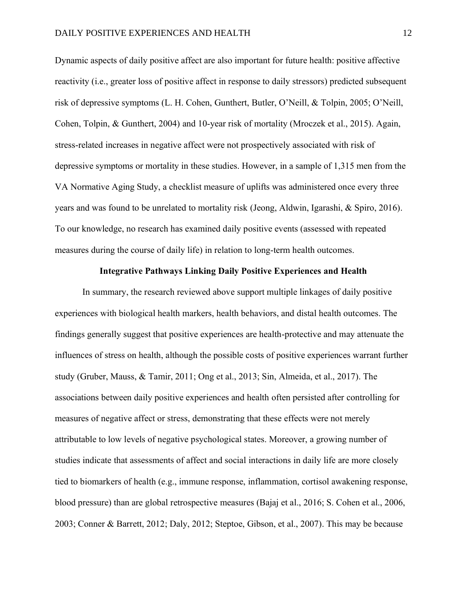Dynamic aspects of daily positive affect are also important for future health: positive affective reactivity (i.e., greater loss of positive affect in response to daily stressors) predicted subsequent risk of depressive symptoms (L. H. Cohen, Gunthert, Butler, O'Neill, & Tolpin, 2005; O'Neill, Cohen, Tolpin, & Gunthert, 2004) and 10-year risk of mortality (Mroczek et al., 2015). Again, stress-related increases in negative affect were not prospectively associated with risk of depressive symptoms or mortality in these studies. However, in a sample of 1,315 men from the VA Normative Aging Study, a checklist measure of uplifts was administered once every three years and was found to be unrelated to mortality risk (Jeong, Aldwin, Igarashi, & Spiro, 2016). To our knowledge, no research has examined daily positive events (assessed with repeated measures during the course of daily life) in relation to long-term health outcomes.

#### **Integrative Pathways Linking Daily Positive Experiences and Health**

In summary, the research reviewed above support multiple linkages of daily positive experiences with biological health markers, health behaviors, and distal health outcomes. The findings generally suggest that positive experiences are health-protective and may attenuate the influences of stress on health, although the possible costs of positive experiences warrant further study (Gruber, Mauss, & Tamir, 2011; Ong et al., 2013; Sin, Almeida, et al., 2017). The associations between daily positive experiences and health often persisted after controlling for measures of negative affect or stress, demonstrating that these effects were not merely attributable to low levels of negative psychological states. Moreover, a growing number of studies indicate that assessments of affect and social interactions in daily life are more closely tied to biomarkers of health (e.g., immune response, inflammation, cortisol awakening response, blood pressure) than are global retrospective measures (Bajaj et al., 2016; S. Cohen et al., 2006, 2003; Conner & Barrett, 2012; Daly, 2012; Steptoe, Gibson, et al., 2007). This may be because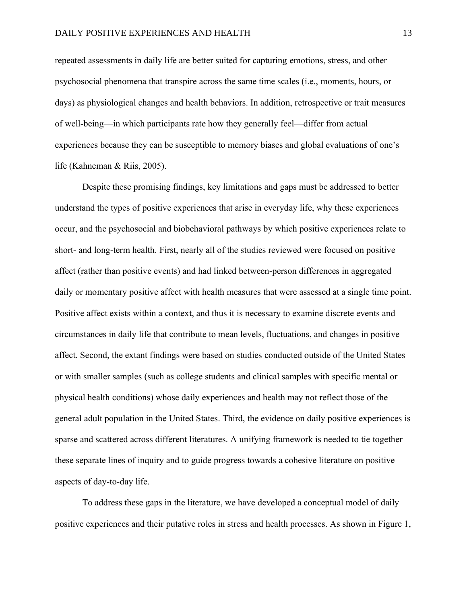repeated assessments in daily life are better suited for capturing emotions, stress, and other psychosocial phenomena that transpire across the same time scales (i.e., moments, hours, or days) as physiological changes and health behaviors. In addition, retrospective or trait measures of well-being—in which participants rate how they generally feel—differ from actual experiences because they can be susceptible to memory biases and global evaluations of one's life (Kahneman & Riis, 2005).

Despite these promising findings, key limitations and gaps must be addressed to better understand the types of positive experiences that arise in everyday life, why these experiences occur, and the psychosocial and biobehavioral pathways by which positive experiences relate to short- and long-term health. First, nearly all of the studies reviewed were focused on positive affect (rather than positive events) and had linked between-person differences in aggregated daily or momentary positive affect with health measures that were assessed at a single time point. Positive affect exists within a context, and thus it is necessary to examine discrete events and circumstances in daily life that contribute to mean levels, fluctuations, and changes in positive affect. Second, the extant findings were based on studies conducted outside of the United States or with smaller samples (such as college students and clinical samples with specific mental or physical health conditions) whose daily experiences and health may not reflect those of the general adult population in the United States. Third, the evidence on daily positive experiences is sparse and scattered across different literatures. A unifying framework is needed to tie together these separate lines of inquiry and to guide progress towards a cohesive literature on positive aspects of day-to-day life.

To address these gaps in the literature, we have developed a conceptual model of daily positive experiences and their putative roles in stress and health processes. As shown in Figure 1,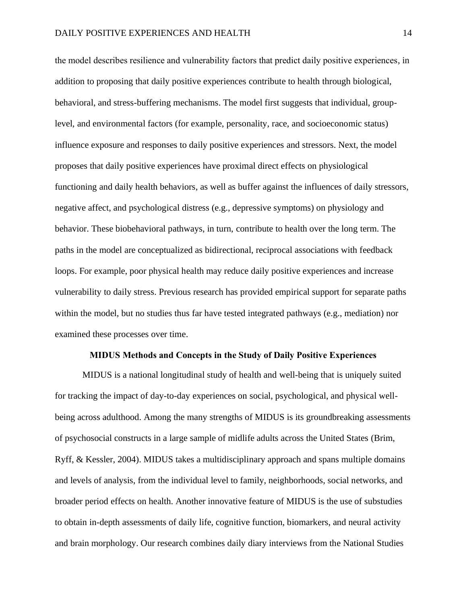the model describes resilience and vulnerability factors that predict daily positive experiences, in addition to proposing that daily positive experiences contribute to health through biological, behavioral, and stress-buffering mechanisms. The model first suggests that individual, grouplevel, and environmental factors (for example, personality, race, and socioeconomic status) influence exposure and responses to daily positive experiences and stressors. Next, the model proposes that daily positive experiences have proximal direct effects on physiological functioning and daily health behaviors, as well as buffer against the influences of daily stressors, negative affect, and psychological distress (e.g., depressive symptoms) on physiology and behavior. These biobehavioral pathways, in turn, contribute to health over the long term. The paths in the model are conceptualized as bidirectional, reciprocal associations with feedback loops. For example, poor physical health may reduce daily positive experiences and increase vulnerability to daily stress. Previous research has provided empirical support for separate paths within the model, but no studies thus far have tested integrated pathways (e.g., mediation) nor examined these processes over time.

#### **MIDUS Methods and Concepts in the Study of Daily Positive Experiences**

MIDUS is a national longitudinal study of health and well-being that is uniquely suited for tracking the impact of day-to-day experiences on social, psychological, and physical wellbeing across adulthood. Among the many strengths of MIDUS is its groundbreaking assessments of psychosocial constructs in a large sample of midlife adults across the United States (Brim, Ryff, & Kessler, 2004). MIDUS takes a multidisciplinary approach and spans multiple domains and levels of analysis, from the individual level to family, neighborhoods, social networks, and broader period effects on health. Another innovative feature of MIDUS is the use of substudies to obtain in-depth assessments of daily life, cognitive function, biomarkers, and neural activity and brain morphology. Our research combines daily diary interviews from the National Studies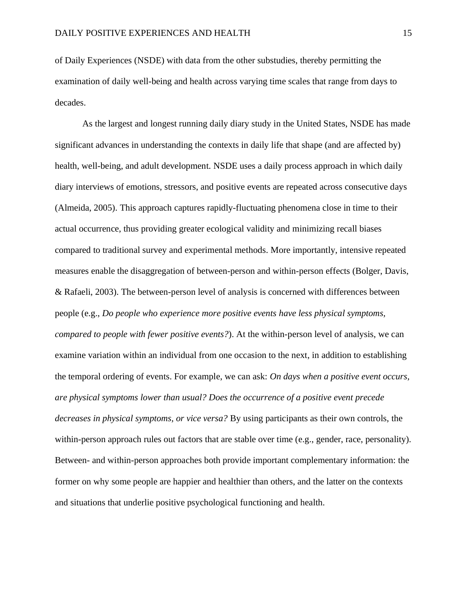of Daily Experiences (NSDE) with data from the other substudies, thereby permitting the examination of daily well-being and health across varying time scales that range from days to decades.

As the largest and longest running daily diary study in the United States, NSDE has made significant advances in understanding the contexts in daily life that shape (and are affected by) health, well-being, and adult development. NSDE uses a daily process approach in which daily diary interviews of emotions, stressors, and positive events are repeated across consecutive days (Almeida, 2005). This approach captures rapidly-fluctuating phenomena close in time to their actual occurrence, thus providing greater ecological validity and minimizing recall biases compared to traditional survey and experimental methods. More importantly, intensive repeated measures enable the disaggregation of between-person and within-person effects (Bolger, Davis, & Rafaeli, 2003). The between-person level of analysis is concerned with differences between people (e.g., *Do people who experience more positive events have less physical symptoms, compared to people with fewer positive events?*). At the within-person level of analysis, we can examine variation within an individual from one occasion to the next, in addition to establishing the temporal ordering of events. For example, we can ask: *On days when a positive event occurs, are physical symptoms lower than usual? Does the occurrence of a positive event precede decreases in physical symptoms, or vice versa?* By using participants as their own controls, the within-person approach rules out factors that are stable over time (e.g., gender, race, personality). Between- and within-person approaches both provide important complementary information: the former on why some people are happier and healthier than others, and the latter on the contexts and situations that underlie positive psychological functioning and health.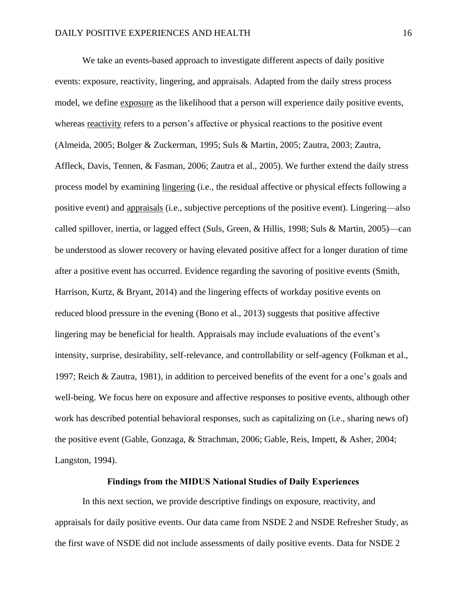We take an events-based approach to investigate different aspects of daily positive events: exposure, reactivity, lingering, and appraisals. Adapted from the daily stress process model, we define exposure as the likelihood that a person will experience daily positive events, whereas reactivity refers to a person's affective or physical reactions to the positive event (Almeida, 2005; Bolger & Zuckerman, 1995; Suls & Martin, 2005; Zautra, 2003; Zautra, Affleck, Davis, Tennen, & Fasman, 2006; Zautra et al., 2005). We further extend the daily stress process model by examining lingering (i.e., the residual affective or physical effects following a positive event) and appraisals (i.e., subjective perceptions of the positive event). Lingering—also called spillover, inertia, or lagged effect (Suls, Green, & Hillis, 1998; Suls & Martin, 2005)—can be understood as slower recovery or having elevated positive affect for a longer duration of time after a positive event has occurred. Evidence regarding the savoring of positive events (Smith, Harrison, Kurtz, & Bryant, 2014) and the lingering effects of workday positive events on reduced blood pressure in the evening (Bono et al., 2013) suggests that positive affective lingering may be beneficial for health. Appraisals may include evaluations of the event's intensity, surprise, desirability, self-relevance, and controllability or self-agency (Folkman et al., 1997; Reich & Zautra, 1981), in addition to perceived benefits of the event for a one's goals and well-being. We focus here on exposure and affective responses to positive events, although other work has described potential behavioral responses, such as capitalizing on (i.e., sharing news of) the positive event (Gable, Gonzaga, & Strachman, 2006; Gable, Reis, Impett, & Asher, 2004; Langston, 1994).

#### **Findings from the MIDUS National Studies of Daily Experiences**

In this next section, we provide descriptive findings on exposure, reactivity, and appraisals for daily positive events. Our data came from NSDE 2 and NSDE Refresher Study, as the first wave of NSDE did not include assessments of daily positive events. Data for NSDE 2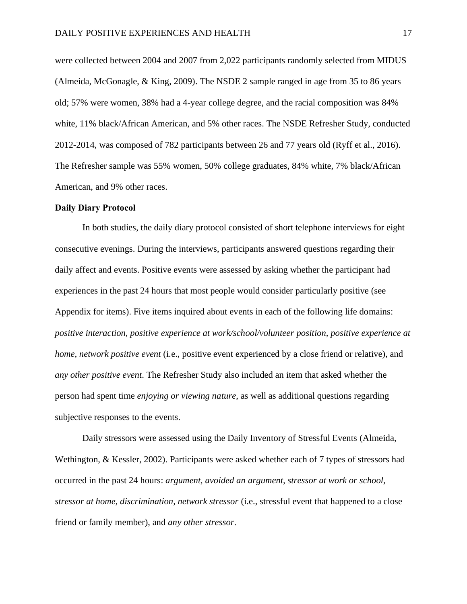were collected between 2004 and 2007 from 2,022 participants randomly selected from MIDUS (Almeida, McGonagle, & King, 2009). The NSDE 2 sample ranged in age from 35 to 86 years old; 57% were women, 38% had a 4-year college degree, and the racial composition was 84% white, 11% black/African American, and 5% other races. The NSDE Refresher Study, conducted 2012-2014, was composed of 782 participants between 26 and 77 years old (Ryff et al., 2016). The Refresher sample was 55% women, 50% college graduates, 84% white, 7% black/African American, and 9% other races.

#### **Daily Diary Protocol**

In both studies, the daily diary protocol consisted of short telephone interviews for eight consecutive evenings. During the interviews, participants answered questions regarding their daily affect and events. Positive events were assessed by asking whether the participant had experiences in the past 24 hours that most people would consider particularly positive (see Appendix for items). Five items inquired about events in each of the following life domains: *positive interaction, positive experience at work/school/volunteer position, positive experience at home, network positive event* (i.e., positive event experienced by a close friend or relative), and *any other positive event*. The Refresher Study also included an item that asked whether the person had spent time *enjoying or viewing nature*, as well as additional questions regarding subjective responses to the events.

Daily stressors were assessed using the Daily Inventory of Stressful Events (Almeida, Wethington, & Kessler, 2002). Participants were asked whether each of 7 types of stressors had occurred in the past 24 hours: *argument, avoided an argument, stressor at work or school, stressor at home, discrimination, network stressor* (i.e., stressful event that happened to a close friend or family member), and *any other stressor.*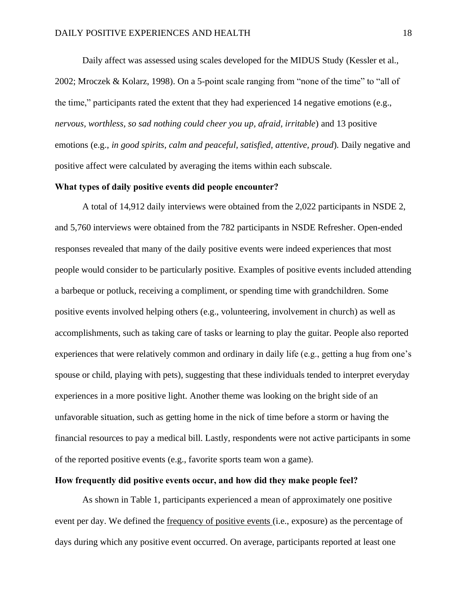Daily affect was assessed using scales developed for the MIDUS Study (Kessler et al., 2002; Mroczek & Kolarz, 1998). On a 5-point scale ranging from "none of the time" to "all of the time," participants rated the extent that they had experienced 14 negative emotions (e.g., *nervous, worthless, so sad nothing could cheer you up, afraid, irritable*) and 13 positive emotions (e.g., *in good spirits, calm and peaceful, satisfied, attentive, proud*)*.* Daily negative and positive affect were calculated by averaging the items within each subscale.

#### **What types of daily positive events did people encounter?**

A total of 14,912 daily interviews were obtained from the 2,022 participants in NSDE 2, and 5,760 interviews were obtained from the 782 participants in NSDE Refresher. Open-ended responses revealed that many of the daily positive events were indeed experiences that most people would consider to be particularly positive. Examples of positive events included attending a barbeque or potluck, receiving a compliment, or spending time with grandchildren. Some positive events involved helping others (e.g., volunteering, involvement in church) as well as accomplishments, such as taking care of tasks or learning to play the guitar. People also reported experiences that were relatively common and ordinary in daily life (e.g., getting a hug from one's spouse or child, playing with pets), suggesting that these individuals tended to interpret everyday experiences in a more positive light. Another theme was looking on the bright side of an unfavorable situation, such as getting home in the nick of time before a storm or having the financial resources to pay a medical bill. Lastly, respondents were not active participants in some of the reported positive events (e.g., favorite sports team won a game).

# **How frequently did positive events occur, and how did they make people feel?**

As shown in Table 1, participants experienced a mean of approximately one positive event per day. We defined the frequency of positive events (i.e., exposure) as the percentage of days during which any positive event occurred. On average, participants reported at least one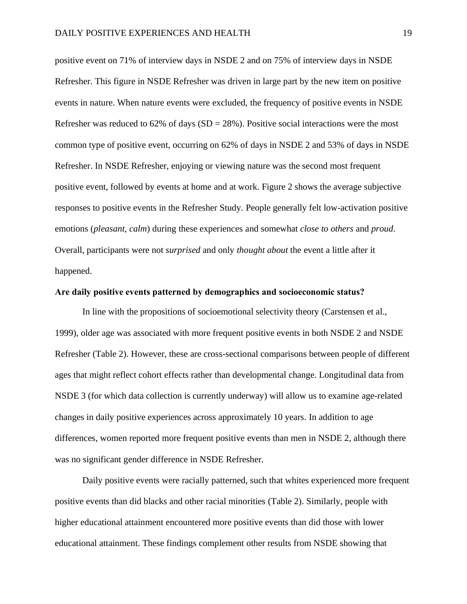positive event on 71% of interview days in NSDE 2 and on 75% of interview days in NSDE Refresher. This figure in NSDE Refresher was driven in large part by the new item on positive events in nature. When nature events were excluded, the frequency of positive events in NSDE Refresher was reduced to  $62\%$  of days (SD = 28%). Positive social interactions were the most common type of positive event, occurring on 62% of days in NSDE 2 and 53% of days in NSDE Refresher. In NSDE Refresher, enjoying or viewing nature was the second most frequent positive event, followed by events at home and at work. Figure 2 shows the average subjective responses to positive events in the Refresher Study. People generally felt low-activation positive emotions (*pleasant, calm*) during these experiences and somewhat *close to others* and *proud*. Overall, participants were not *surprised* and only *thought about* the event a little after it happened.

#### **Are daily positive events patterned by demographics and socioeconomic status?**

In line with the propositions of socioemotional selectivity theory (Carstensen et al., 1999), older age was associated with more frequent positive events in both NSDE 2 and NSDE Refresher (Table 2). However, these are cross-sectional comparisons between people of different ages that might reflect cohort effects rather than developmental change. Longitudinal data from NSDE 3 (for which data collection is currently underway) will allow us to examine age-related changes in daily positive experiences across approximately 10 years. In addition to age differences, women reported more frequent positive events than men in NSDE 2, although there was no significant gender difference in NSDE Refresher.

Daily positive events were racially patterned, such that whites experienced more frequent positive events than did blacks and other racial minorities (Table 2). Similarly, people with higher educational attainment encountered more positive events than did those with lower educational attainment. These findings complement other results from NSDE showing that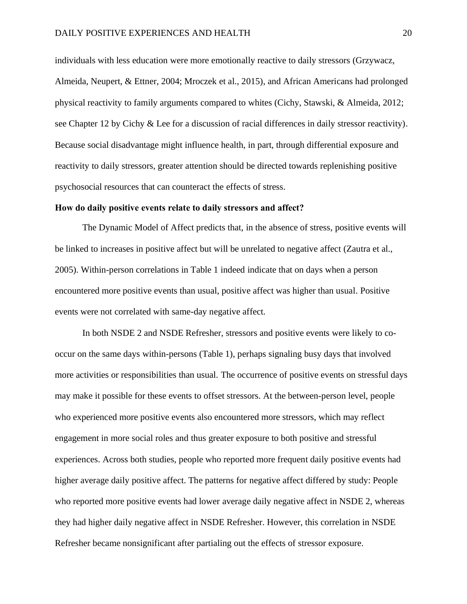individuals with less education were more emotionally reactive to daily stressors (Grzywacz, Almeida, Neupert, & Ettner, 2004; Mroczek et al., 2015), and African Americans had prolonged physical reactivity to family arguments compared to whites (Cichy, Stawski, & Almeida, 2012; see Chapter 12 by Cichy & Lee for a discussion of racial differences in daily stressor reactivity). Because social disadvantage might influence health, in part, through differential exposure and reactivity to daily stressors, greater attention should be directed towards replenishing positive psychosocial resources that can counteract the effects of stress.

#### **How do daily positive events relate to daily stressors and affect?**

The Dynamic Model of Affect predicts that, in the absence of stress, positive events will be linked to increases in positive affect but will be unrelated to negative affect (Zautra et al., 2005). Within-person correlations in Table 1 indeed indicate that on days when a person encountered more positive events than usual, positive affect was higher than usual. Positive events were not correlated with same-day negative affect.

In both NSDE 2 and NSDE Refresher, stressors and positive events were likely to cooccur on the same days within-persons (Table 1), perhaps signaling busy days that involved more activities or responsibilities than usual. The occurrence of positive events on stressful days may make it possible for these events to offset stressors. At the between-person level, people who experienced more positive events also encountered more stressors, which may reflect engagement in more social roles and thus greater exposure to both positive and stressful experiences. Across both studies, people who reported more frequent daily positive events had higher average daily positive affect. The patterns for negative affect differed by study: People who reported more positive events had lower average daily negative affect in NSDE 2, whereas they had higher daily negative affect in NSDE Refresher. However, this correlation in NSDE Refresher became nonsignificant after partialing out the effects of stressor exposure.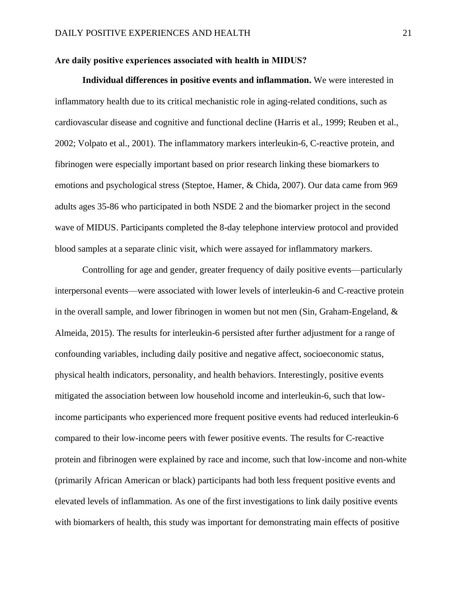#### **Are daily positive experiences associated with health in MIDUS?**

**Individual differences in positive events and inflammation.** We were interested in inflammatory health due to its critical mechanistic role in aging-related conditions, such as cardiovascular disease and cognitive and functional decline (Harris et al., 1999; Reuben et al., 2002; Volpato et al., 2001). The inflammatory markers interleukin-6, C-reactive protein, and fibrinogen were especially important based on prior research linking these biomarkers to emotions and psychological stress (Steptoe, Hamer, & Chida, 2007). Our data came from 969 adults ages 35-86 who participated in both NSDE 2 and the biomarker project in the second wave of MIDUS. Participants completed the 8-day telephone interview protocol and provided blood samples at a separate clinic visit, which were assayed for inflammatory markers.

Controlling for age and gender, greater frequency of daily positive events—particularly interpersonal events—were associated with lower levels of interleukin-6 and C-reactive protein in the overall sample, and lower fibrinogen in women but not men (Sin, Graham-Engeland, & Almeida, 2015). The results for interleukin-6 persisted after further adjustment for a range of confounding variables, including daily positive and negative affect, socioeconomic status, physical health indicators, personality, and health behaviors. Interestingly, positive events mitigated the association between low household income and interleukin-6, such that lowincome participants who experienced more frequent positive events had reduced interleukin-6 compared to their low-income peers with fewer positive events. The results for C-reactive protein and fibrinogen were explained by race and income, such that low-income and non-white (primarily African American or black) participants had both less frequent positive events and elevated levels of inflammation. As one of the first investigations to link daily positive events with biomarkers of health, this study was important for demonstrating main effects of positive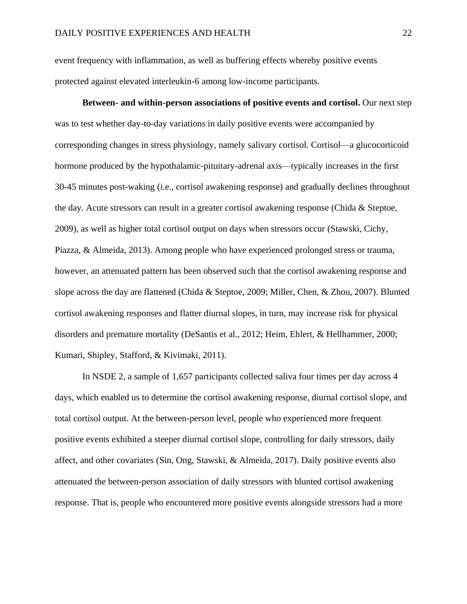event frequency with inflammation, as well as buffering effects whereby positive events protected against elevated interleukin-6 among low-income participants.

**Between- and within-person associations of positive events and cortisol.** Our next step was to test whether day-to-day variations in daily positive events were accompanied by corresponding changes in stress physiology, namely salivary cortisol. Cortisol—a glucocorticoid hormone produced by the hypothalamic-pituitary-adrenal axis—typically increases in the first 30-45 minutes post-waking (i.e., cortisol awakening response) and gradually declines throughout the day. Acute stressors can result in a greater cortisol awakening response (Chida & Steptoe, 2009), as well as higher total cortisol output on days when stressors occur (Stawski, Cichy, Piazza, & Almeida, 2013). Among people who have experienced prolonged stress or trauma, however, an attenuated pattern has been observed such that the cortisol awakening response and slope across the day are flattened (Chida & Steptoe, 2009; Miller, Chen, & Zhou, 2007). Blunted cortisol awakening responses and flatter diurnal slopes, in turn, may increase risk for physical disorders and premature mortality (DeSantis et al., 2012; Heim, Ehlert, & Hellhammer, 2000; Kumari, Shipley, Stafford, & Kivimaki, 2011).

In NSDE 2, a sample of 1,657 participants collected saliva four times per day across 4 days, which enabled us to determine the cortisol awakening response, diurnal cortisol slope, and total cortisol output. At the between-person level, people who experienced more frequent positive events exhibited a steeper diurnal cortisol slope, controlling for daily stressors, daily affect, and other covariates (Sin, Ong, Stawski, & Almeida, 2017). Daily positive events also attenuated the between-person association of daily stressors with blunted cortisol awakening response. That is, people who encountered more positive events alongside stressors had a more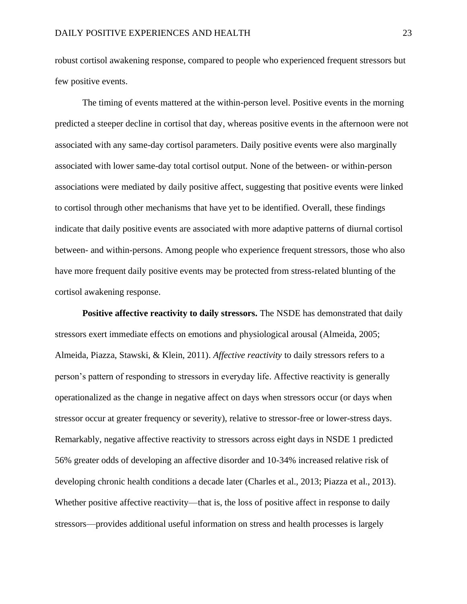robust cortisol awakening response, compared to people who experienced frequent stressors but few positive events.

The timing of events mattered at the within-person level. Positive events in the morning predicted a steeper decline in cortisol that day, whereas positive events in the afternoon were not associated with any same-day cortisol parameters. Daily positive events were also marginally associated with lower same-day total cortisol output. None of the between- or within-person associations were mediated by daily positive affect, suggesting that positive events were linked to cortisol through other mechanisms that have yet to be identified. Overall, these findings indicate that daily positive events are associated with more adaptive patterns of diurnal cortisol between- and within-persons. Among people who experience frequent stressors, those who also have more frequent daily positive events may be protected from stress-related blunting of the cortisol awakening response.

**Positive affective reactivity to daily stressors.** The NSDE has demonstrated that daily stressors exert immediate effects on emotions and physiological arousal (Almeida, 2005; Almeida, Piazza, Stawski, & Klein, 2011). *Affective reactivity* to daily stressors refers to a person's pattern of responding to stressors in everyday life. Affective reactivity is generally operationalized as the change in negative affect on days when stressors occur (or days when stressor occur at greater frequency or severity), relative to stressor-free or lower-stress days. Remarkably, negative affective reactivity to stressors across eight days in NSDE 1 predicted 56% greater odds of developing an affective disorder and 10-34% increased relative risk of developing chronic health conditions a decade later (Charles et al., 2013; Piazza et al., 2013). Whether positive affective reactivity—that is, the loss of positive affect in response to daily stressors—provides additional useful information on stress and health processes is largely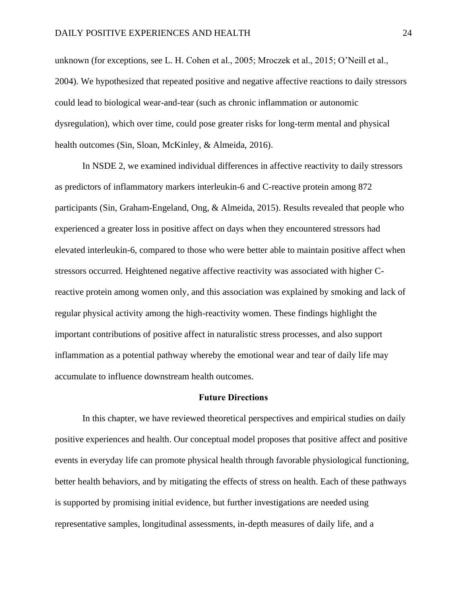unknown (for exceptions, see L. H. Cohen et al., 2005; Mroczek et al., 2015; O'Neill et al., 2004). We hypothesized that repeated positive and negative affective reactions to daily stressors could lead to biological wear-and-tear (such as chronic inflammation or autonomic dysregulation), which over time, could pose greater risks for long-term mental and physical health outcomes (Sin, Sloan, McKinley, & Almeida, 2016).

In NSDE 2, we examined individual differences in affective reactivity to daily stressors as predictors of inflammatory markers interleukin-6 and C-reactive protein among 872 participants (Sin, Graham-Engeland, Ong, & Almeida, 2015). Results revealed that people who experienced a greater loss in positive affect on days when they encountered stressors had elevated interleukin-6, compared to those who were better able to maintain positive affect when stressors occurred. Heightened negative affective reactivity was associated with higher Creactive protein among women only, and this association was explained by smoking and lack of regular physical activity among the high-reactivity women. These findings highlight the important contributions of positive affect in naturalistic stress processes, and also support inflammation as a potential pathway whereby the emotional wear and tear of daily life may accumulate to influence downstream health outcomes.

#### **Future Directions**

In this chapter, we have reviewed theoretical perspectives and empirical studies on daily positive experiences and health. Our conceptual model proposes that positive affect and positive events in everyday life can promote physical health through favorable physiological functioning, better health behaviors, and by mitigating the effects of stress on health. Each of these pathways is supported by promising initial evidence, but further investigations are needed using representative samples, longitudinal assessments, in-depth measures of daily life, and a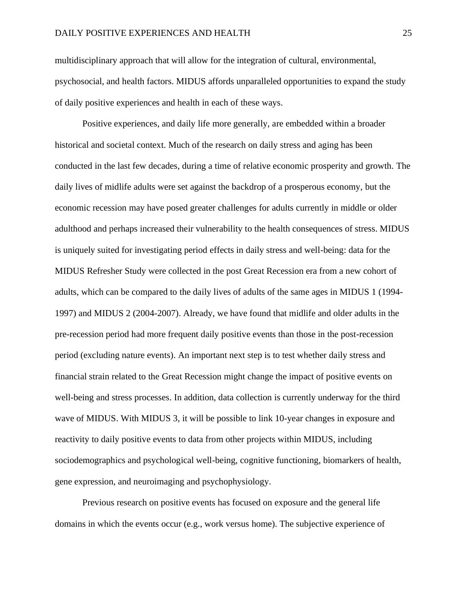multidisciplinary approach that will allow for the integration of cultural, environmental, psychosocial, and health factors. MIDUS affords unparalleled opportunities to expand the study of daily positive experiences and health in each of these ways.

Positive experiences, and daily life more generally, are embedded within a broader historical and societal context. Much of the research on daily stress and aging has been conducted in the last few decades, during a time of relative economic prosperity and growth. The daily lives of midlife adults were set against the backdrop of a prosperous economy, but the economic recession may have posed greater challenges for adults currently in middle or older adulthood and perhaps increased their vulnerability to the health consequences of stress. MIDUS is uniquely suited for investigating period effects in daily stress and well-being: data for the MIDUS Refresher Study were collected in the post Great Recession era from a new cohort of adults, which can be compared to the daily lives of adults of the same ages in MIDUS 1 (1994- 1997) and MIDUS 2 (2004-2007). Already, we have found that midlife and older adults in the pre-recession period had more frequent daily positive events than those in the post-recession period (excluding nature events). An important next step is to test whether daily stress and financial strain related to the Great Recession might change the impact of positive events on well-being and stress processes. In addition, data collection is currently underway for the third wave of MIDUS. With MIDUS 3, it will be possible to link 10-year changes in exposure and reactivity to daily positive events to data from other projects within MIDUS, including sociodemographics and psychological well-being, cognitive functioning, biomarkers of health, gene expression, and neuroimaging and psychophysiology.

Previous research on positive events has focused on exposure and the general life domains in which the events occur (e.g., work versus home). The subjective experience of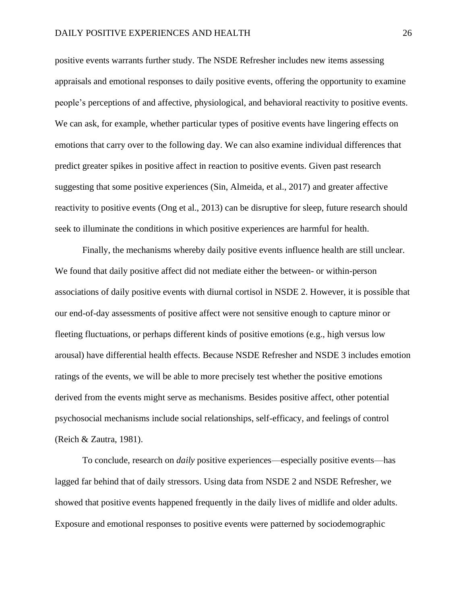positive events warrants further study. The NSDE Refresher includes new items assessing appraisals and emotional responses to daily positive events, offering the opportunity to examine people's perceptions of and affective, physiological, and behavioral reactivity to positive events. We can ask, for example, whether particular types of positive events have lingering effects on emotions that carry over to the following day. We can also examine individual differences that predict greater spikes in positive affect in reaction to positive events. Given past research suggesting that some positive experiences (Sin, Almeida, et al., 2017) and greater affective reactivity to positive events (Ong et al., 2013) can be disruptive for sleep, future research should seek to illuminate the conditions in which positive experiences are harmful for health.

Finally, the mechanisms whereby daily positive events influence health are still unclear. We found that daily positive affect did not mediate either the between- or within-person associations of daily positive events with diurnal cortisol in NSDE 2. However, it is possible that our end-of-day assessments of positive affect were not sensitive enough to capture minor or fleeting fluctuations, or perhaps different kinds of positive emotions (e.g., high versus low arousal) have differential health effects. Because NSDE Refresher and NSDE 3 includes emotion ratings of the events, we will be able to more precisely test whether the positive emotions derived from the events might serve as mechanisms. Besides positive affect, other potential psychosocial mechanisms include social relationships, self-efficacy, and feelings of control (Reich & Zautra, 1981).

To conclude, research on *daily* positive experiences—especially positive events—has lagged far behind that of daily stressors. Using data from NSDE 2 and NSDE Refresher, we showed that positive events happened frequently in the daily lives of midlife and older adults. Exposure and emotional responses to positive events were patterned by sociodemographic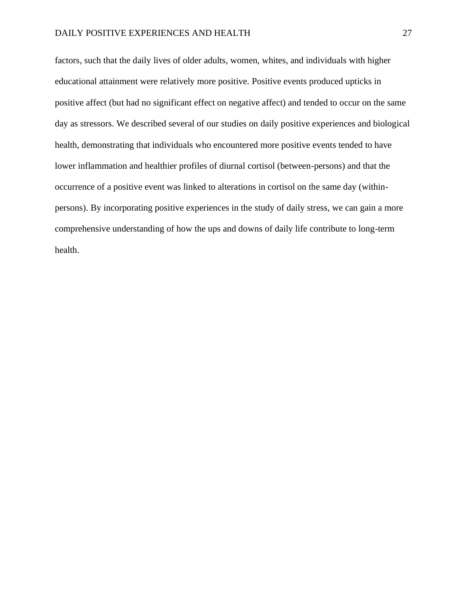factors, such that the daily lives of older adults, women, whites, and individuals with higher educational attainment were relatively more positive. Positive events produced upticks in positive affect (but had no significant effect on negative affect) and tended to occur on the same day as stressors. We described several of our studies on daily positive experiences and biological health, demonstrating that individuals who encountered more positive events tended to have lower inflammation and healthier profiles of diurnal cortisol (between-persons) and that the occurrence of a positive event was linked to alterations in cortisol on the same day (withinpersons). By incorporating positive experiences in the study of daily stress, we can gain a more comprehensive understanding of how the ups and downs of daily life contribute to long-term health.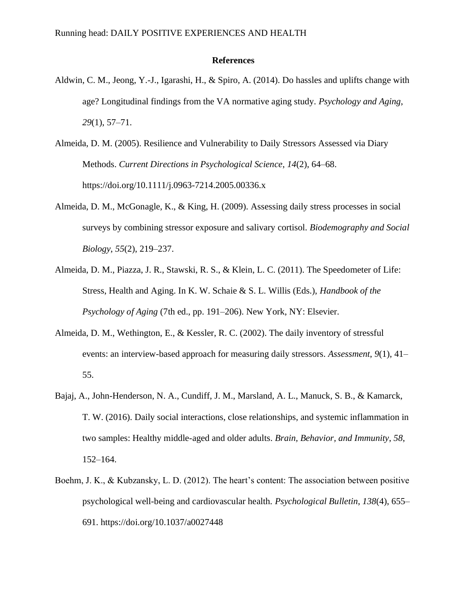#### **References**

- Aldwin, C. M., Jeong, Y.-J., Igarashi, H., & Spiro, A. (2014). Do hassles and uplifts change with age? Longitudinal findings from the VA normative aging study. *Psychology and Aging*, *29*(1), 57–71.
- Almeida, D. M. (2005). Resilience and Vulnerability to Daily Stressors Assessed via Diary Methods. *Current Directions in Psychological Science*, *14*(2), 64–68. https://doi.org/10.1111/j.0963-7214.2005.00336.x
- Almeida, D. M., McGonagle, K., & King, H. (2009). Assessing daily stress processes in social surveys by combining stressor exposure and salivary cortisol. *Biodemography and Social Biology*, *55*(2), 219–237.
- Almeida, D. M., Piazza, J. R., Stawski, R. S., & Klein, L. C. (2011). The Speedometer of Life: Stress, Health and Aging. In K. W. Schaie & S. L. Willis (Eds.), *Handbook of the Psychology of Aging* (7th ed., pp. 191–206). New York, NY: Elsevier.
- Almeida, D. M., Wethington, E., & Kessler, R. C. (2002). The daily inventory of stressful events: an interview-based approach for measuring daily stressors. *Assessment*, *9*(1), 41– 55.
- Bajaj, A., John-Henderson, N. A., Cundiff, J. M., Marsland, A. L., Manuck, S. B., & Kamarck, T. W. (2016). Daily social interactions, close relationships, and systemic inflammation in two samples: Healthy middle-aged and older adults. *Brain, Behavior, and Immunity*, *58*, 152–164.
- Boehm, J. K., & Kubzansky, L. D. (2012). The heart's content: The association between positive psychological well-being and cardiovascular health. *Psychological Bulletin*, *138*(4), 655– 691. https://doi.org/10.1037/a0027448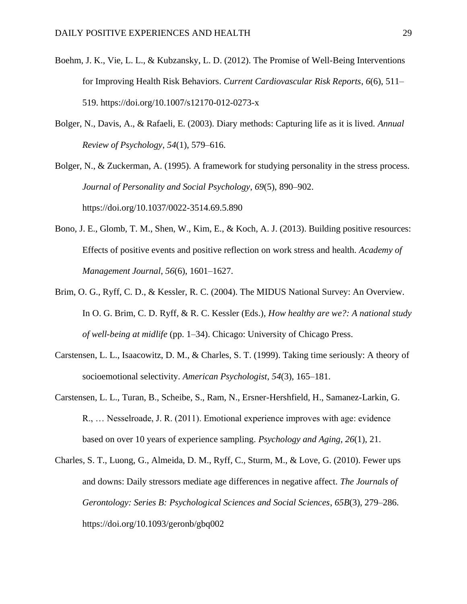- Boehm, J. K., Vie, L. L., & Kubzansky, L. D. (2012). The Promise of Well-Being Interventions for Improving Health Risk Behaviors. *Current Cardiovascular Risk Reports*, *6*(6), 511– 519. https://doi.org/10.1007/s12170-012-0273-x
- Bolger, N., Davis, A., & Rafaeli, E. (2003). Diary methods: Capturing life as it is lived. *Annual Review of Psychology*, *54*(1), 579–616.

Bolger, N., & Zuckerman, A. (1995). A framework for studying personality in the stress process. *Journal of Personality and Social Psychology*, *69*(5), 890–902. https://doi.org/10.1037/0022-3514.69.5.890

- Bono, J. E., Glomb, T. M., Shen, W., Kim, E., & Koch, A. J. (2013). Building positive resources: Effects of positive events and positive reflection on work stress and health. *Academy of Management Journal*, *56*(6), 1601–1627.
- Brim, O. G., Ryff, C. D., & Kessler, R. C. (2004). The MIDUS National Survey: An Overview. In O. G. Brim, C. D. Ryff, & R. C. Kessler (Eds.), *How healthy are we?: A national study of well-being at midlife* (pp. 1–34). Chicago: University of Chicago Press.
- Carstensen, L. L., Isaacowitz, D. M., & Charles, S. T. (1999). Taking time seriously: A theory of socioemotional selectivity. *American Psychologist*, *54*(3), 165–181.
- Carstensen, L. L., Turan, B., Scheibe, S., Ram, N., Ersner-Hershfield, H., Samanez-Larkin, G. R., … Nesselroade, J. R. (2011). Emotional experience improves with age: evidence based on over 10 years of experience sampling. *Psychology and Aging*, *26*(1), 21.
- Charles, S. T., Luong, G., Almeida, D. M., Ryff, C., Sturm, M., & Love, G. (2010). Fewer ups and downs: Daily stressors mediate age differences in negative affect. *The Journals of Gerontology: Series B: Psychological Sciences and Social Sciences*, *65B*(3), 279–286. https://doi.org/10.1093/geronb/gbq002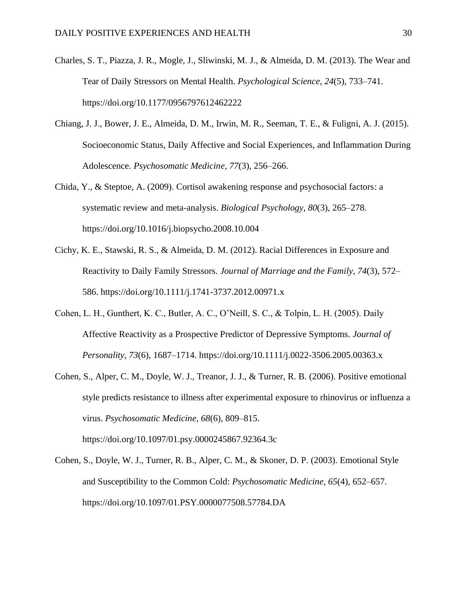- Charles, S. T., Piazza, J. R., Mogle, J., Sliwinski, M. J., & Almeida, D. M. (2013). The Wear and Tear of Daily Stressors on Mental Health. *Psychological Science*, *24*(5), 733–741. https://doi.org/10.1177/0956797612462222
- Chiang, J. J., Bower, J. E., Almeida, D. M., Irwin, M. R., Seeman, T. E., & Fuligni, A. J. (2015). Socioeconomic Status, Daily Affective and Social Experiences, and Inflammation During Adolescence. *Psychosomatic Medicine*, *77*(3), 256–266.
- Chida, Y., & Steptoe, A. (2009). Cortisol awakening response and psychosocial factors: a systematic review and meta-analysis. *Biological Psychology*, *80*(3), 265–278. https://doi.org/10.1016/j.biopsycho.2008.10.004
- Cichy, K. E., Stawski, R. S., & Almeida, D. M. (2012). Racial Differences in Exposure and Reactivity to Daily Family Stressors. *Journal of Marriage and the Family*, *74*(3), 572– 586. https://doi.org/10.1111/j.1741-3737.2012.00971.x
- Cohen, L. H., Gunthert, K. C., Butler, A. C., O'Neill, S. C., & Tolpin, L. H. (2005). Daily Affective Reactivity as a Prospective Predictor of Depressive Symptoms. *Journal of Personality*, *73*(6), 1687–1714. https://doi.org/10.1111/j.0022-3506.2005.00363.x
- Cohen, S., Alper, C. M., Doyle, W. J., Treanor, J. J., & Turner, R. B. (2006). Positive emotional style predicts resistance to illness after experimental exposure to rhinovirus or influenza a virus. *Psychosomatic Medicine*, *68*(6), 809–815. https://doi.org/10.1097/01.psy.0000245867.92364.3c

Cohen, S., Doyle, W. J., Turner, R. B., Alper, C. M., & Skoner, D. P. (2003). Emotional Style and Susceptibility to the Common Cold: *Psychosomatic Medicine*, *65*(4), 652–657. https://doi.org/10.1097/01.PSY.0000077508.57784.DA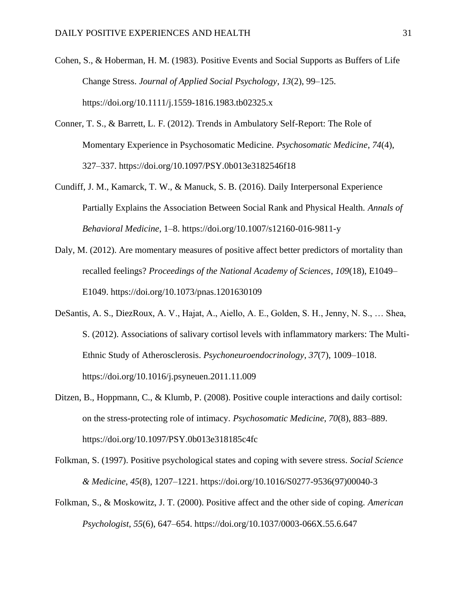- Cohen, S., & Hoberman, H. M. (1983). Positive Events and Social Supports as Buffers of Life Change Stress. *Journal of Applied Social Psychology*, *13*(2), 99–125. https://doi.org/10.1111/j.1559-1816.1983.tb02325.x
- Conner, T. S., & Barrett, L. F. (2012). Trends in Ambulatory Self-Report: The Role of Momentary Experience in Psychosomatic Medicine. *Psychosomatic Medicine*, *74*(4), 327–337. https://doi.org/10.1097/PSY.0b013e3182546f18
- Cundiff, J. M., Kamarck, T. W., & Manuck, S. B. (2016). Daily Interpersonal Experience Partially Explains the Association Between Social Rank and Physical Health. *Annals of Behavioral Medicine*, 1–8. https://doi.org/10.1007/s12160-016-9811-y
- Daly, M. (2012). Are momentary measures of positive affect better predictors of mortality than recalled feelings? *Proceedings of the National Academy of Sciences*, *109*(18), E1049– E1049. https://doi.org/10.1073/pnas.1201630109
- DeSantis, A. S., DiezRoux, A. V., Hajat, A., Aiello, A. E., Golden, S. H., Jenny, N. S., … Shea, S. (2012). Associations of salivary cortisol levels with inflammatory markers: The Multi-Ethnic Study of Atherosclerosis. *Psychoneuroendocrinology*, *37*(7), 1009–1018. https://doi.org/10.1016/j.psyneuen.2011.11.009
- Ditzen, B., Hoppmann, C., & Klumb, P. (2008). Positive couple interactions and daily cortisol: on the stress-protecting role of intimacy. *Psychosomatic Medicine*, *70*(8), 883–889. https://doi.org/10.1097/PSY.0b013e318185c4fc
- Folkman, S. (1997). Positive psychological states and coping with severe stress. *Social Science & Medicine*, *45*(8), 1207–1221. https://doi.org/10.1016/S0277-9536(97)00040-3
- Folkman, S., & Moskowitz, J. T. (2000). Positive affect and the other side of coping. *American Psychologist*, *55*(6), 647–654. https://doi.org/10.1037/0003-066X.55.6.647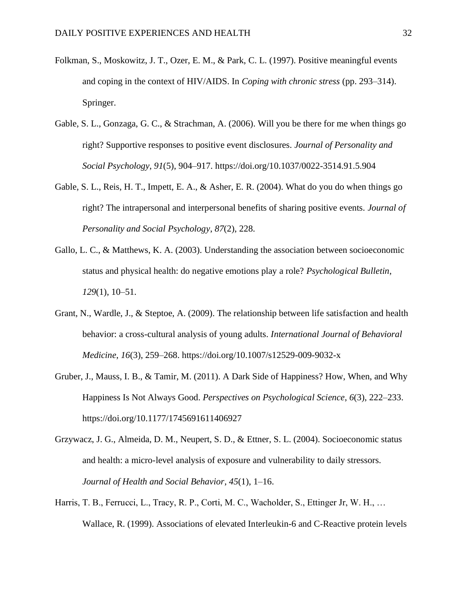- Folkman, S., Moskowitz, J. T., Ozer, E. M., & Park, C. L. (1997). Positive meaningful events and coping in the context of HIV/AIDS. In *Coping with chronic stress* (pp. 293–314). Springer.
- Gable, S. L., Gonzaga, G. C., & Strachman, A. (2006). Will you be there for me when things go right? Supportive responses to positive event disclosures. *Journal of Personality and Social Psychology*, *91*(5), 904–917. https://doi.org/10.1037/0022-3514.91.5.904
- Gable, S. L., Reis, H. T., Impett, E. A., & Asher, E. R. (2004). What do you do when things go right? The intrapersonal and interpersonal benefits of sharing positive events. *Journal of Personality and Social Psychology*, *87*(2), 228.
- Gallo, L. C., & Matthews, K. A. (2003). Understanding the association between socioeconomic status and physical health: do negative emotions play a role? *Psychological Bulletin*, *129*(1), 10–51.
- Grant, N., Wardle, J., & Steptoe, A. (2009). The relationship between life satisfaction and health behavior: a cross-cultural analysis of young adults. *International Journal of Behavioral Medicine*, *16*(3), 259–268. https://doi.org/10.1007/s12529-009-9032-x
- Gruber, J., Mauss, I. B., & Tamir, M. (2011). A Dark Side of Happiness? How, When, and Why Happiness Is Not Always Good. *Perspectives on Psychological Science*, *6*(3), 222–233. https://doi.org/10.1177/1745691611406927
- Grzywacz, J. G., Almeida, D. M., Neupert, S. D., & Ettner, S. L. (2004). Socioeconomic status and health: a micro-level analysis of exposure and vulnerability to daily stressors. *Journal of Health and Social Behavior*, *45*(1), 1–16.
- Harris, T. B., Ferrucci, L., Tracy, R. P., Corti, M. C., Wacholder, S., Ettinger Jr, W. H., … Wallace, R. (1999). Associations of elevated Interleukin-6 and C-Reactive protein levels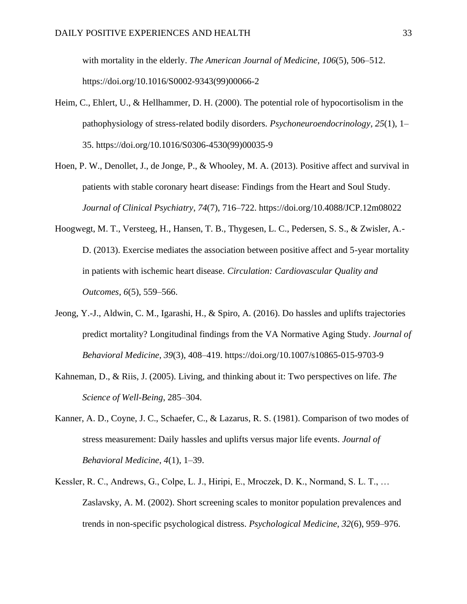with mortality in the elderly. *The American Journal of Medicine*, *106*(5), 506–512. https://doi.org/10.1016/S0002-9343(99)00066-2

- Heim, C., Ehlert, U., & Hellhammer, D. H. (2000). The potential role of hypocortisolism in the pathophysiology of stress-related bodily disorders. *Psychoneuroendocrinology*, *25*(1), 1– 35. https://doi.org/10.1016/S0306-4530(99)00035-9
- Hoen, P. W., Denollet, J., de Jonge, P., & Whooley, M. A. (2013). Positive affect and survival in patients with stable coronary heart disease: Findings from the Heart and Soul Study. *Journal of Clinical Psychiatry*, *74*(7), 716–722. https://doi.org/10.4088/JCP.12m08022
- Hoogwegt, M. T., Versteeg, H., Hansen, T. B., Thygesen, L. C., Pedersen, S. S., & Zwisler, A.- D. (2013). Exercise mediates the association between positive affect and 5-year mortality in patients with ischemic heart disease. *Circulation: Cardiovascular Quality and Outcomes*, *6*(5), 559–566.
- Jeong, Y.-J., Aldwin, C. M., Igarashi, H., & Spiro, A. (2016). Do hassles and uplifts trajectories predict mortality? Longitudinal findings from the VA Normative Aging Study. *Journal of Behavioral Medicine*, *39*(3), 408–419. https://doi.org/10.1007/s10865-015-9703-9
- Kahneman, D., & Riis, J. (2005). Living, and thinking about it: Two perspectives on life. *The Science of Well-Being*, 285–304.
- Kanner, A. D., Coyne, J. C., Schaefer, C., & Lazarus, R. S. (1981). Comparison of two modes of stress measurement: Daily hassles and uplifts versus major life events. *Journal of Behavioral Medicine*, *4*(1), 1–39.
- Kessler, R. C., Andrews, G., Colpe, L. J., Hiripi, E., Mroczek, D. K., Normand, S. L. T., … Zaslavsky, A. M. (2002). Short screening scales to monitor population prevalences and trends in non-specific psychological distress. *Psychological Medicine*, *32*(6), 959–976.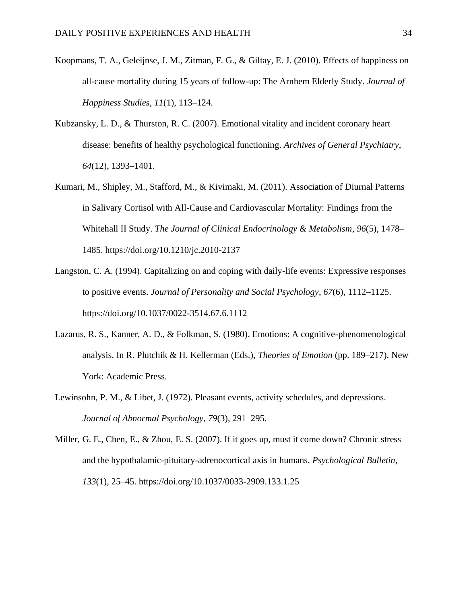- Koopmans, T. A., Geleijnse, J. M., Zitman, F. G., & Giltay, E. J. (2010). Effects of happiness on all-cause mortality during 15 years of follow-up: The Arnhem Elderly Study. *Journal of Happiness Studies*, *11*(1), 113–124.
- Kubzansky, L. D., & Thurston, R. C. (2007). Emotional vitality and incident coronary heart disease: benefits of healthy psychological functioning. *Archives of General Psychiatry*, *64*(12), 1393–1401.
- Kumari, M., Shipley, M., Stafford, M., & Kivimaki, M. (2011). Association of Diurnal Patterns in Salivary Cortisol with All-Cause and Cardiovascular Mortality: Findings from the Whitehall II Study. *The Journal of Clinical Endocrinology & Metabolism*, *96*(5), 1478– 1485. https://doi.org/10.1210/jc.2010-2137
- Langston, C. A. (1994). Capitalizing on and coping with daily-life events: Expressive responses to positive events. *Journal of Personality and Social Psychology*, *67*(6), 1112–1125. https://doi.org/10.1037/0022-3514.67.6.1112
- Lazarus, R. S., Kanner, A. D., & Folkman, S. (1980). Emotions: A cognitive-phenomenological analysis. In R. Plutchik & H. Kellerman (Eds.), *Theories of Emotion* (pp. 189–217). New York: Academic Press.
- Lewinsohn, P. M., & Libet, J. (1972). Pleasant events, activity schedules, and depressions. *Journal of Abnormal Psychology*, *79*(3), 291–295.
- Miller, G. E., Chen, E., & Zhou, E. S. (2007). If it goes up, must it come down? Chronic stress and the hypothalamic-pituitary-adrenocortical axis in humans. *Psychological Bulletin*, *133*(1), 25–45. https://doi.org/10.1037/0033-2909.133.1.25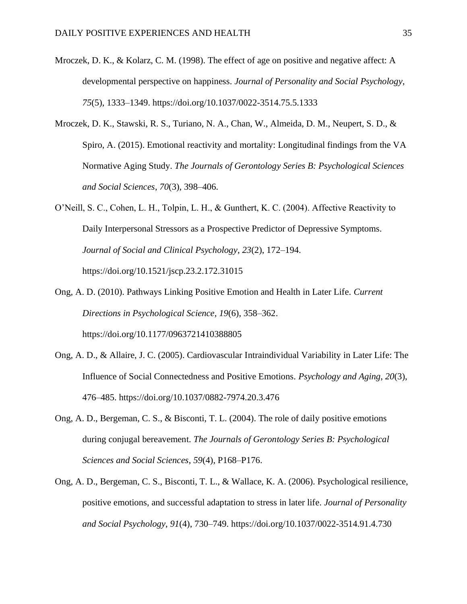- Mroczek, D. K., & Kolarz, C. M. (1998). The effect of age on positive and negative affect: A developmental perspective on happiness. *Journal of Personality and Social Psychology*, *75*(5), 1333–1349. https://doi.org/10.1037/0022-3514.75.5.1333
- Mroczek, D. K., Stawski, R. S., Turiano, N. A., Chan, W., Almeida, D. M., Neupert, S. D., & Spiro, A. (2015). Emotional reactivity and mortality: Longitudinal findings from the VA Normative Aging Study. *The Journals of Gerontology Series B: Psychological Sciences and Social Sciences*, *70*(3), 398–406.
- O'Neill, S. C., Cohen, L. H., Tolpin, L. H., & Gunthert, K. C. (2004). Affective Reactivity to Daily Interpersonal Stressors as a Prospective Predictor of Depressive Symptoms. *Journal of Social and Clinical Psychology*, *23*(2), 172–194. https://doi.org/10.1521/jscp.23.2.172.31015
- Ong, A. D. (2010). Pathways Linking Positive Emotion and Health in Later Life. *Current Directions in Psychological Science*, *19*(6), 358–362. https://doi.org/10.1177/0963721410388805
- Ong, A. D., & Allaire, J. C. (2005). Cardiovascular Intraindividual Variability in Later Life: The Influence of Social Connectedness and Positive Emotions. *Psychology and Aging*, *20*(3), 476–485. https://doi.org/10.1037/0882-7974.20.3.476
- Ong, A. D., Bergeman, C. S., & Bisconti, T. L. (2004). The role of daily positive emotions during conjugal bereavement. *The Journals of Gerontology Series B: Psychological Sciences and Social Sciences*, *59*(4), P168–P176.
- Ong, A. D., Bergeman, C. S., Bisconti, T. L., & Wallace, K. A. (2006). Psychological resilience, positive emotions, and successful adaptation to stress in later life. *Journal of Personality and Social Psychology*, *91*(4), 730–749. https://doi.org/10.1037/0022-3514.91.4.730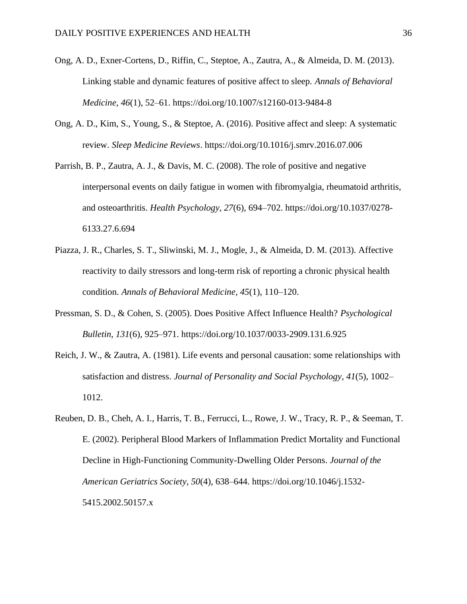- Ong, A. D., Exner-Cortens, D., Riffin, C., Steptoe, A., Zautra, A., & Almeida, D. M. (2013). Linking stable and dynamic features of positive affect to sleep. *Annals of Behavioral Medicine*, *46*(1), 52–61. https://doi.org/10.1007/s12160-013-9484-8
- Ong, A. D., Kim, S., Young, S., & Steptoe, A. (2016). Positive affect and sleep: A systematic review. *Sleep Medicine Reviews*. https://doi.org/10.1016/j.smrv.2016.07.006
- Parrish, B. P., Zautra, A. J., & Davis, M. C. (2008). The role of positive and negative interpersonal events on daily fatigue in women with fibromyalgia, rheumatoid arthritis, and osteoarthritis. *Health Psychology*, *27*(6), 694–702. https://doi.org/10.1037/0278- 6133.27.6.694
- Piazza, J. R., Charles, S. T., Sliwinski, M. J., Mogle, J., & Almeida, D. M. (2013). Affective reactivity to daily stressors and long-term risk of reporting a chronic physical health condition. *Annals of Behavioral Medicine*, *45*(1), 110–120.
- Pressman, S. D., & Cohen, S. (2005). Does Positive Affect Influence Health? *Psychological Bulletin*, *131*(6), 925–971. https://doi.org/10.1037/0033-2909.131.6.925
- Reich, J. W., & Zautra, A. (1981). Life events and personal causation: some relationships with satisfaction and distress. *Journal of Personality and Social Psychology*, *41*(5), 1002– 1012.
- Reuben, D. B., Cheh, A. I., Harris, T. B., Ferrucci, L., Rowe, J. W., Tracy, R. P., & Seeman, T. E. (2002). Peripheral Blood Markers of Inflammation Predict Mortality and Functional Decline in High-Functioning Community-Dwelling Older Persons. *Journal of the American Geriatrics Society*, *50*(4), 638–644. https://doi.org/10.1046/j.1532- 5415.2002.50157.x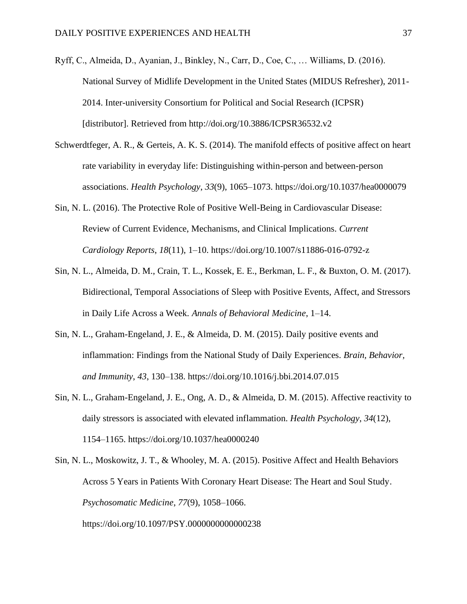- Ryff, C., Almeida, D., Ayanian, J., Binkley, N., Carr, D., Coe, C., … Williams, D. (2016). National Survey of Midlife Development in the United States (MIDUS Refresher), 2011- 2014. Inter-university Consortium for Political and Social Research (ICPSR) [distributor]. Retrieved from http://doi.org/10.3886/ICPSR36532.v2
- Schwerdtfeger, A. R., & Gerteis, A. K. S. (2014). The manifold effects of positive affect on heart rate variability in everyday life: Distinguishing within-person and between-person associations. *Health Psychology*, *33*(9), 1065–1073. https://doi.org/10.1037/hea0000079
- Sin, N. L. (2016). The Protective Role of Positive Well-Being in Cardiovascular Disease: Review of Current Evidence, Mechanisms, and Clinical Implications. *Current Cardiology Reports*, *18*(11), 1–10. https://doi.org/10.1007/s11886-016-0792-z
- Sin, N. L., Almeida, D. M., Crain, T. L., Kossek, E. E., Berkman, L. F., & Buxton, O. M. (2017). Bidirectional, Temporal Associations of Sleep with Positive Events, Affect, and Stressors in Daily Life Across a Week. *Annals of Behavioral Medicine*, 1–14.
- Sin, N. L., Graham-Engeland, J. E., & Almeida, D. M. (2015). Daily positive events and inflammation: Findings from the National Study of Daily Experiences. *Brain, Behavior, and Immunity*, *43*, 130–138. https://doi.org/10.1016/j.bbi.2014.07.015
- Sin, N. L., Graham-Engeland, J. E., Ong, A. D., & Almeida, D. M. (2015). Affective reactivity to daily stressors is associated with elevated inflammation. *Health Psychology*, *34*(12), 1154–1165. https://doi.org/10.1037/hea0000240

Sin, N. L., Moskowitz, J. T., & Whooley, M. A. (2015). Positive Affect and Health Behaviors Across 5 Years in Patients With Coronary Heart Disease: The Heart and Soul Study. *Psychosomatic Medicine*, *77*(9), 1058–1066. https://doi.org/10.1097/PSY.0000000000000238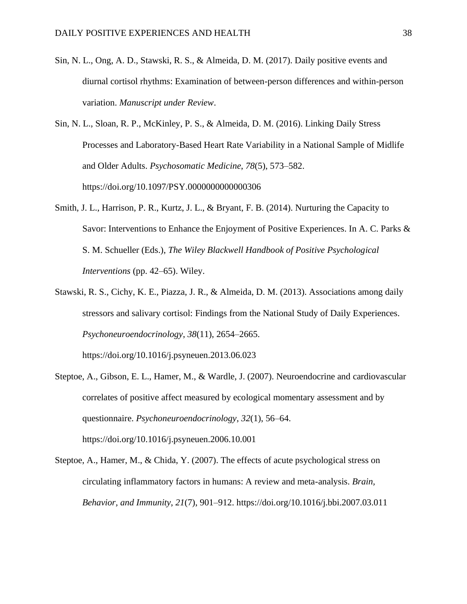- Sin, N. L., Ong, A. D., Stawski, R. S., & Almeida, D. M. (2017). Daily positive events and diurnal cortisol rhythms: Examination of between-person differences and within-person variation. *Manuscript under Review*.
- Sin, N. L., Sloan, R. P., McKinley, P. S., & Almeida, D. M. (2016). Linking Daily Stress Processes and Laboratory-Based Heart Rate Variability in a National Sample of Midlife and Older Adults. *Psychosomatic Medicine*, *78*(5), 573–582. https://doi.org/10.1097/PSY.0000000000000306
- Smith, J. L., Harrison, P. R., Kurtz, J. L., & Bryant, F. B. (2014). Nurturing the Capacity to Savor: Interventions to Enhance the Enjoyment of Positive Experiences. In A. C. Parks & S. M. Schueller (Eds.), *The Wiley Blackwell Handbook of Positive Psychological Interventions* (pp. 42–65). Wiley.
- Stawski, R. S., Cichy, K. E., Piazza, J. R., & Almeida, D. M. (2013). Associations among daily stressors and salivary cortisol: Findings from the National Study of Daily Experiences. *Psychoneuroendocrinology*, *38*(11), 2654–2665.

https://doi.org/10.1016/j.psyneuen.2013.06.023

- Steptoe, A., Gibson, E. L., Hamer, M., & Wardle, J. (2007). Neuroendocrine and cardiovascular correlates of positive affect measured by ecological momentary assessment and by questionnaire. *Psychoneuroendocrinology*, *32*(1), 56–64. https://doi.org/10.1016/j.psyneuen.2006.10.001
- Steptoe, A., Hamer, M., & Chida, Y. (2007). The effects of acute psychological stress on circulating inflammatory factors in humans: A review and meta-analysis. *Brain, Behavior, and Immunity*, *21*(7), 901–912. https://doi.org/10.1016/j.bbi.2007.03.011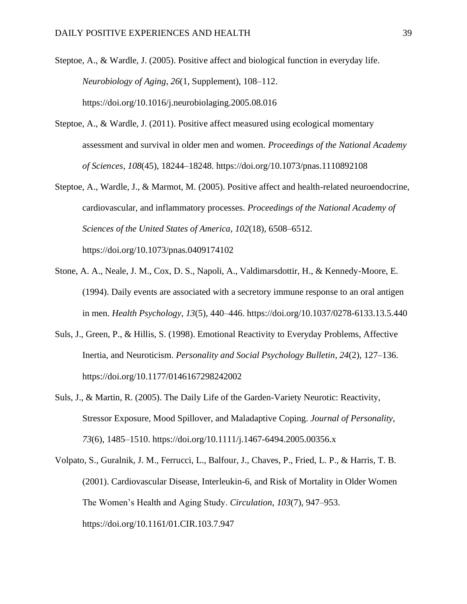Steptoe, A., & Wardle, J. (2005). Positive affect and biological function in everyday life. *Neurobiology of Aging*, *26*(1, Supplement), 108–112. https://doi.org/10.1016/j.neurobiolaging.2005.08.016

- Steptoe, A., & Wardle, J. (2011). Positive affect measured using ecological momentary assessment and survival in older men and women. *Proceedings of the National Academy of Sciences*, *108*(45), 18244–18248. https://doi.org/10.1073/pnas.1110892108
- Steptoe, A., Wardle, J., & Marmot, M. (2005). Positive affect and health-related neuroendocrine, cardiovascular, and inflammatory processes. *Proceedings of the National Academy of Sciences of the United States of America*, *102*(18), 6508–6512. https://doi.org/10.1073/pnas.0409174102
- Stone, A. A., Neale, J. M., Cox, D. S., Napoli, A., Valdimarsdottir, H., & Kennedy-Moore, E. (1994). Daily events are associated with a secretory immune response to an oral antigen in men. *Health Psychology*, *13*(5), 440–446. https://doi.org/10.1037/0278-6133.13.5.440
- Suls, J., Green, P., & Hillis, S. (1998). Emotional Reactivity to Everyday Problems, Affective Inertia, and Neuroticism. *Personality and Social Psychology Bulletin*, *24*(2), 127–136. https://doi.org/10.1177/0146167298242002
- Suls, J., & Martin, R. (2005). The Daily Life of the Garden-Variety Neurotic: Reactivity, Stressor Exposure, Mood Spillover, and Maladaptive Coping. *Journal of Personality*, *73*(6), 1485–1510. https://doi.org/10.1111/j.1467-6494.2005.00356.x
- Volpato, S., Guralnik, J. M., Ferrucci, L., Balfour, J., Chaves, P., Fried, L. P., & Harris, T. B. (2001). Cardiovascular Disease, Interleukin-6, and Risk of Mortality in Older Women The Women's Health and Aging Study. *Circulation*, *103*(7), 947–953. https://doi.org/10.1161/01.CIR.103.7.947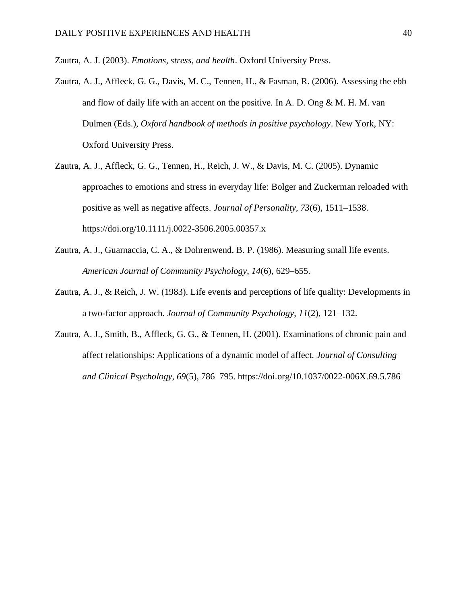Zautra, A. J. (2003). *Emotions, stress, and health*. Oxford University Press.

- Zautra, A. J., Affleck, G. G., Davis, M. C., Tennen, H., & Fasman, R. (2006). Assessing the ebb and flow of daily life with an accent on the positive. In A. D. Ong  $\&$  M. H. M. van Dulmen (Eds.), *Oxford handbook of methods in positive psychology*. New York, NY: Oxford University Press.
- Zautra, A. J., Affleck, G. G., Tennen, H., Reich, J. W., & Davis, M. C. (2005). Dynamic approaches to emotions and stress in everyday life: Bolger and Zuckerman reloaded with positive as well as negative affects. *Journal of Personality*, *73*(6), 1511–1538. https://doi.org/10.1111/j.0022-3506.2005.00357.x
- Zautra, A. J., Guarnaccia, C. A., & Dohrenwend, B. P. (1986). Measuring small life events. *American Journal of Community Psychology*, *14*(6), 629–655.
- Zautra, A. J., & Reich, J. W. (1983). Life events and perceptions of life quality: Developments in a two-factor approach. *Journal of Community Psychology*, *11*(2), 121–132.
- Zautra, A. J., Smith, B., Affleck, G. G., & Tennen, H. (2001). Examinations of chronic pain and affect relationships: Applications of a dynamic model of affect. *Journal of Consulting and Clinical Psychology*, *69*(5), 786–795. https://doi.org/10.1037/0022-006X.69.5.786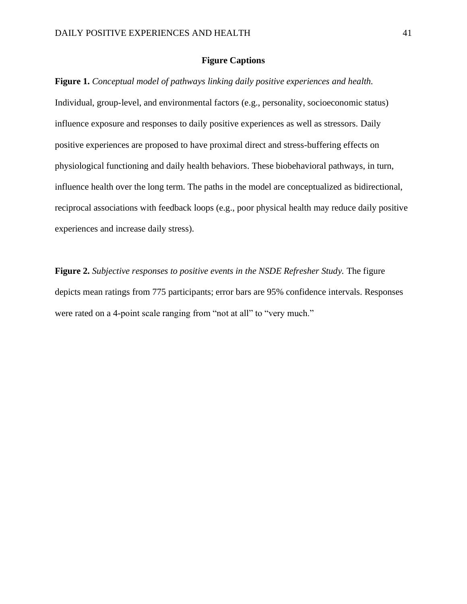#### **Figure Captions**

**Figure 1.** *Conceptual model of pathways linking daily positive experiences and health.*  Individual, group-level, and environmental factors (e.g., personality, socioeconomic status) influence exposure and responses to daily positive experiences as well as stressors. Daily positive experiences are proposed to have proximal direct and stress-buffering effects on physiological functioning and daily health behaviors. These biobehavioral pathways, in turn, influence health over the long term. The paths in the model are conceptualized as bidirectional, reciprocal associations with feedback loops (e.g., poor physical health may reduce daily positive experiences and increase daily stress).

**Figure 2.** *Subjective responses to positive events in the NSDE Refresher Study.* The figure depicts mean ratings from 775 participants; error bars are 95% confidence intervals. Responses were rated on a 4-point scale ranging from "not at all" to "very much."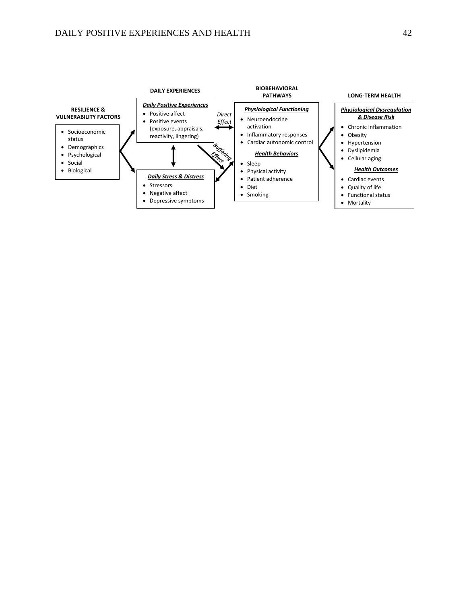# DAILY POSITIVE EXPERIENCES AND HEALTH 42

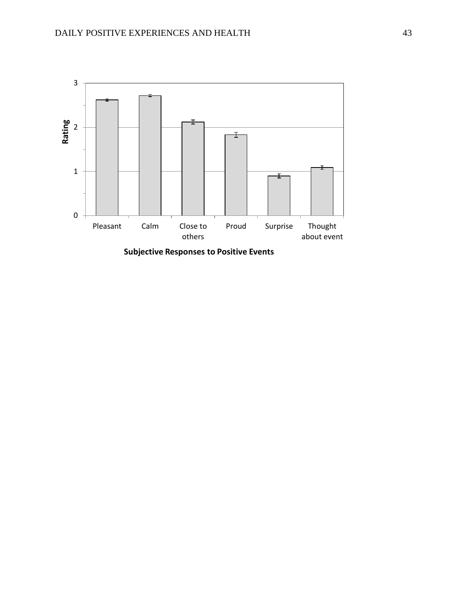

**Subjective Responses to Positive Events**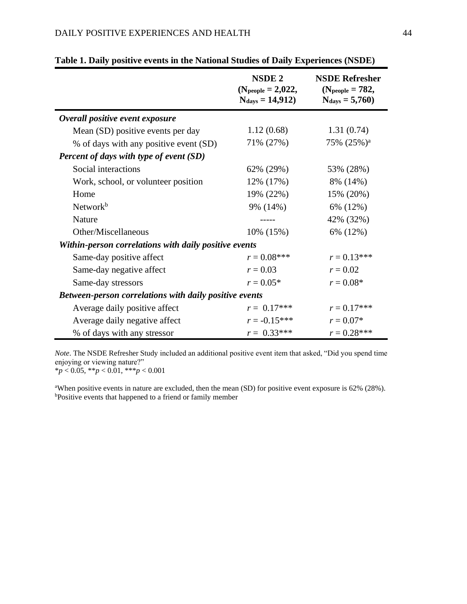|                                                               | <b>NSDE 2</b><br>(N <sub>people</sub> = 2,022,<br>$N_{\rm days} = 14,912$ | <b>NSDE Refresher</b><br>(N <sub>people</sub> = $782$ ,<br>$N_{\rm days} = 5,760$ |  |  |  |  |
|---------------------------------------------------------------|---------------------------------------------------------------------------|-----------------------------------------------------------------------------------|--|--|--|--|
| Overall positive event exposure                               |                                                                           |                                                                                   |  |  |  |  |
| Mean (SD) positive events per day                             | 1.12(0.68)                                                                | 1.31(0.74)                                                                        |  |  |  |  |
| % of days with any positive event (SD)                        | 71% (27%)                                                                 | 75% (25%) <sup>a</sup>                                                            |  |  |  |  |
| <b>Percent of days with type of event (SD)</b>                |                                                                           |                                                                                   |  |  |  |  |
| Social interactions                                           | 62% (29%)                                                                 | 53% (28%)                                                                         |  |  |  |  |
| Work, school, or volunteer position                           | 12% (17%)                                                                 | 8% (14%)                                                                          |  |  |  |  |
| Home                                                          | 19% (22%)                                                                 | 15% (20%)                                                                         |  |  |  |  |
| Network <sup>b</sup>                                          | 9% (14%)                                                                  | 6% (12%)                                                                          |  |  |  |  |
| <b>Nature</b>                                                 |                                                                           | 42% (32%)                                                                         |  |  |  |  |
| Other/Miscellaneous                                           | 10% (15%)                                                                 | 6% (12%)                                                                          |  |  |  |  |
| Within-person correlations with daily positive events         |                                                                           |                                                                                   |  |  |  |  |
| Same-day positive affect                                      | $r = 0.08$ ***                                                            | $r = 0.13***$                                                                     |  |  |  |  |
| Same-day negative affect                                      | $r = 0.03$                                                                | $r = 0.02$                                                                        |  |  |  |  |
| Same-day stressors                                            | $r = 0.05*$                                                               | $r = 0.08*$                                                                       |  |  |  |  |
| <b>Between-person correlations with daily positive events</b> |                                                                           |                                                                                   |  |  |  |  |
| Average daily positive affect                                 | $r = 0.17***$                                                             | $r = 0.17***$                                                                     |  |  |  |  |
| Average daily negative affect                                 | $r = -0.15***$                                                            | $r = 0.07*$                                                                       |  |  |  |  |
| % of days with any stressor                                   | $r = 0.33***$                                                             | $r = 0.28$ ***                                                                    |  |  |  |  |

|  | Table 1. Daily positive events in the National Studies of Daily Experiences (NSDE) |  |  |  |  |
|--|------------------------------------------------------------------------------------|--|--|--|--|
|  |                                                                                    |  |  |  |  |

*Note*. The NSDE Refresher Study included an additional positive event item that asked, "Did you spend time enjoying or viewing nature?"

\**p* < 0.05, \*\**p* < 0.01, \*\*\**p* < 0.001

<sup>a</sup>When positive events in nature are excluded, then the mean (SD) for positive event exposure is 62% (28%). bPositive events that happened to a friend or family member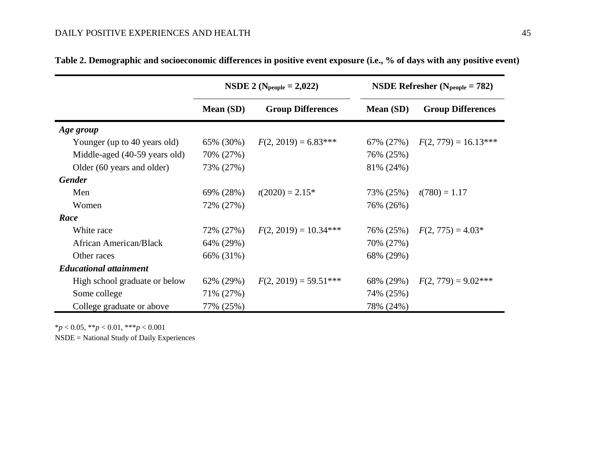|                               | <b>NSDE</b> 2 (N <sub>people</sub> = 2,022) |                          |           | <b>NSDE Refresher</b> ( $N_{people} = 782$ ) |  |  |
|-------------------------------|---------------------------------------------|--------------------------|-----------|----------------------------------------------|--|--|
|                               | Mean (SD)                                   | <b>Group Differences</b> | Mean (SD) | <b>Group Differences</b>                     |  |  |
| Age group                     |                                             |                          |           |                                              |  |  |
| Younger (up to 40 years old)  | 65% (30%)                                   | $F(2, 2019) = 6.83***$   | 67% (27%) | $F(2, 779) = 16.13***$                       |  |  |
| Middle-aged (40-59 years old) | 70% (27%)                                   |                          | 76% (25%) |                                              |  |  |
| Older (60 years and older)    | 73% (27%)                                   |                          | 81% (24%) |                                              |  |  |
| <b>Gender</b>                 |                                             |                          |           |                                              |  |  |
| Men                           | 69% (28%)                                   | $t(2020) = 2.15*$        | 73% (25%) | $t(780) = 1.17$                              |  |  |
| Women                         | 72% (27%)                                   |                          | 76% (26%) |                                              |  |  |
| Race                          |                                             |                          |           |                                              |  |  |
| White race                    | 72% (27%)                                   | $F(2, 2019) = 10.34***$  | 76% (25%) | $F(2, 775) = 4.03*$                          |  |  |
| African American/Black        | 64% (29%)                                   |                          | 70% (27%) |                                              |  |  |
| Other races                   | 66% (31%)                                   |                          | 68% (29%) |                                              |  |  |
| <b>Educational attainment</b> |                                             |                          |           |                                              |  |  |
| High school graduate or below | 62% (29%)                                   | $F(2, 2019) = 59.51***$  | 68% (29%) | $F(2, 779) = 9.02***$                        |  |  |
| Some college                  | 71% (27%)                                   |                          | 74% (25%) |                                              |  |  |
| College graduate or above     | 77% (25%)                                   |                          | 78% (24%) |                                              |  |  |

| Table 2. Demographic and socioeconomic differences in positive event exposure (i.e., % of days with any positive event) |  |  |
|-------------------------------------------------------------------------------------------------------------------------|--|--|
|                                                                                                                         |  |  |

\**p* < 0.05, \*\**p* < 0.01, \*\*\**p* < 0.001

NSDE = National Study of Daily Experiences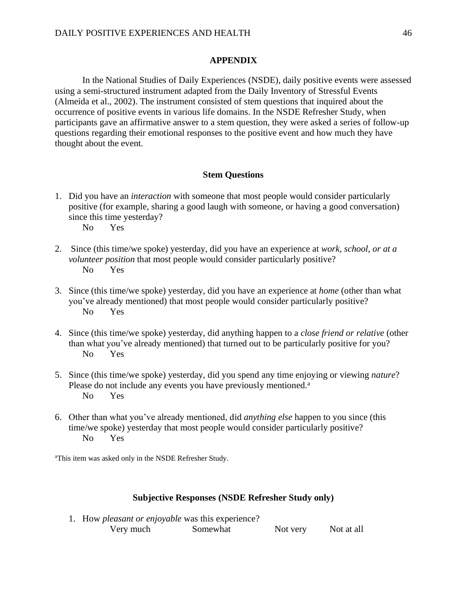# **APPENDIX**

In the National Studies of Daily Experiences (NSDE), daily positive events were assessed using a semi-structured instrument adapted from the Daily Inventory of Stressful Events (Almeida et al., 2002). The instrument consisted of stem questions that inquired about the occurrence of positive events in various life domains. In the NSDE Refresher Study, when participants gave an affirmative answer to a stem question, they were asked a series of follow-up questions regarding their emotional responses to the positive event and how much they have thought about the event.

#### **Stem Questions**

- 1. Did you have an *interaction* with someone that most people would consider particularly positive (for example, sharing a good laugh with someone, or having a good conversation) since this time yesterday? No Yes
- 2. Since (this time/we spoke) yesterday, did you have an experience at *work, school, or at a volunteer position* that most people would consider particularly positive? No Yes
- 3. Since (this time/we spoke) yesterday, did you have an experience at *home* (other than what you've already mentioned) that most people would consider particularly positive? No Yes
- 4. Since (this time/we spoke) yesterday, did anything happen to a *close friend or relative* (other than what you've already mentioned) that turned out to be particularly positive for you? No Yes
- 5. Since (this time/we spoke) yesterday, did you spend any time enjoying or viewing *nature*? Please do not include any events you have previously mentioned.<sup>a</sup> No Yes
- 6. Other than what you've already mentioned, did *anything else* happen to you since (this time/we spoke) yesterday that most people would consider particularly positive? No Yes

<sup>a</sup>This item was asked only in the NSDE Refresher Study.

#### **Subjective Responses (NSDE Refresher Study only)**

1. How *pleasant or enjoyable* was this experience? Very much Somewhat Not very Not at all